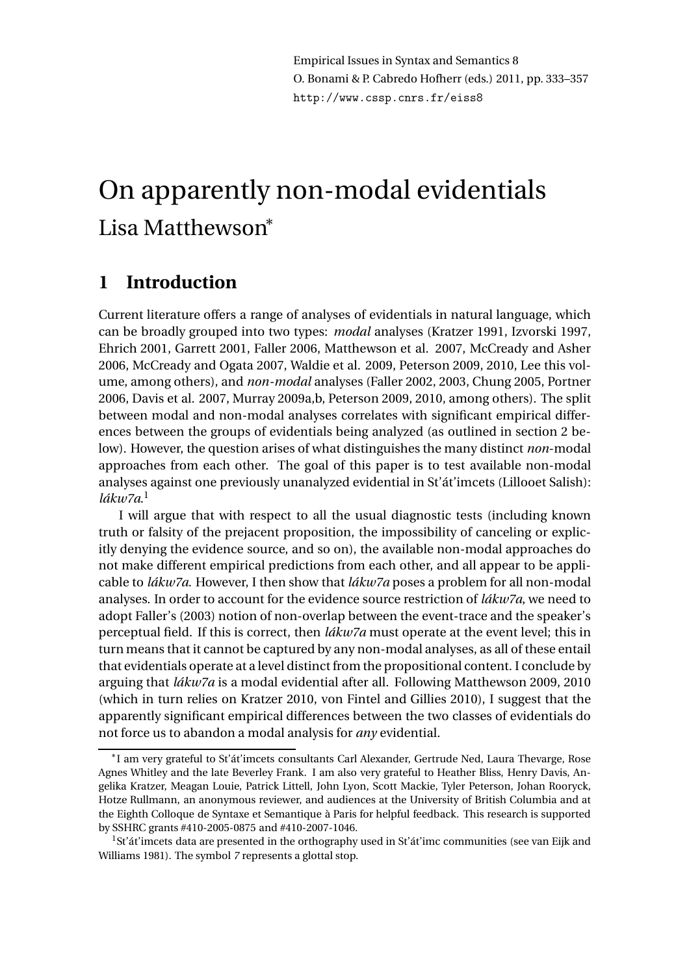Empirical Issues in Syntax and Semantics 8 O. Bonami & P. Cabredo Hofherr (eds.) 2011, pp. 333–357 http://www.cssp.cnrs.fr/eiss8

# On apparently non-modal evidentials Lisa Matthewson<sup>∗</sup>

## **1 Introduction**

Current literature offers a range of analyses of evidentials in natural language, which can be broadly grouped into two types: *modal* analyses (Kratzer 1991, Izvorski 1997, Ehrich 2001, Garrett 2001, Faller 2006, Matthewson et al. 2007, McCready and Asher 2006, McCready and Ogata 2007, Waldie et al. 2009, Peterson 2009, 2010, Lee this volume, among others), and *non-modal* analyses (Faller 2002, 2003, Chung 2005, Portner 2006, Davis et al. 2007, Murray 2009a,b, Peterson 2009, 2010, among others). The split between modal and non-modal analyses correlates with significant empirical differences between the groups of evidentials being analyzed (as outlined in section 2 below). However, the question arises of what distinguishes the many distinct *non*-modal approaches from each other. The goal of this paper is to test available non-modal analyses against one previously unanalyzed evidential in St'át'imcets (Lillooet Salish): *lákw7a*. 1

I will argue that with respect to all the usual diagnostic tests (including known truth or falsity of the prejacent proposition, the impossibility of canceling or explicitly denying the evidence source, and so on), the available non-modal approaches do not make different empirical predictions from each other, and all appear to be applicable to *lákw7a*. However, I then show that *lákw7a* poses a problem for all non-modal analyses. In order to account for the evidence source restriction of *lákw7a*, we need to adopt Faller's (2003) notion of non-overlap between the event-trace and the speaker's perceptual field. If this is correct, then *lákw7a* must operate at the event level; this in turn means that it cannot be captured by any non-modal analyses, as all of these entail that evidentials operate at a level distinct from the propositional content. I conclude by arguing that *lákw7a* is a modal evidential after all. Following Matthewson 2009, 2010 (which in turn relies on Kratzer 2010, von Fintel and Gillies 2010), I suggest that the apparently significant empirical differences between the two classes of evidentials do not force us to abandon a modal analysis for *any* evidential.

<sup>∗</sup> I am very grateful to St'át'imcets consultants Carl Alexander, Gertrude Ned, Laura Thevarge, Rose Agnes Whitley and the late Beverley Frank. I am also very grateful to Heather Bliss, Henry Davis, Angelika Kratzer, Meagan Louie, Patrick Littell, John Lyon, Scott Mackie, Tyler Peterson, Johan Rooryck, Hotze Rullmann, an anonymous reviewer, and audiences at the University of British Columbia and at the Eighth Colloque de Syntaxe et Semantique à Paris for helpful feedback. This research is supported by SSHRC grants #410-2005-0875 and #410-2007-1046.

 $1$ St'át'imcets data are presented in the orthography used in St'át'imc communities (see van Eijk and Williams 1981). The symbol *7* represents a glottal stop.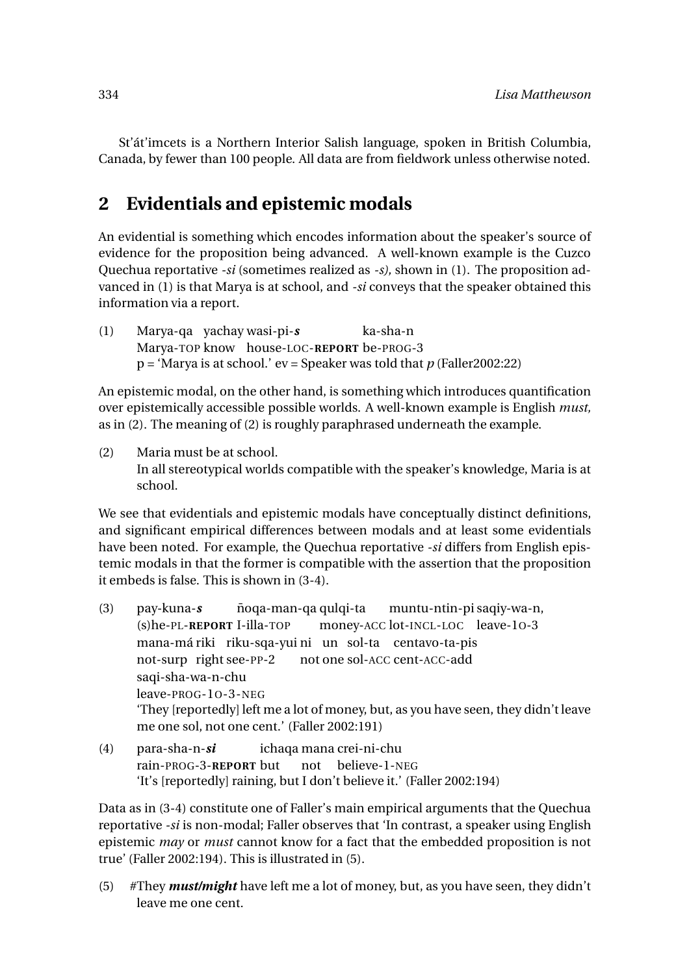St'át'imcets is a Northern Interior Salish language, spoken in British Columbia, Canada, by fewer than 100 people. All data are from fieldwork unless otherwise noted.

# **2 Evidentials and epistemic modals**

An evidential is something which encodes information about the speaker's source of evidence for the proposition being advanced. A well-known example is the Cuzco Quechua reportative *-si* (sometimes realized as *-s),* shown in (1). The proposition advanced in (1) is that Marya is at school, and *-si* conveys that the speaker obtained this information via a report.

(1) Marya-qa yachay wasi-pi-*s* Marya-TOP know house-LOC-**REPORT** be-PROG-3 ka-sha-n p = 'Marya is at school.' ev = Speaker was told that *p* (Faller2002:22)

An epistemic modal, on the other hand, is something which introduces quantification over epistemically accessible possible worlds. A well-known example is English *must,* as in (2). The meaning of (2) is roughly paraphrased underneath the example.

(2) Maria must be at school. In all stereotypical worlds compatible with the speaker's knowledge, Maria is at school.

We see that evidentials and epistemic modals have conceptually distinct definitions, and significant empirical differences between modals and at least some evidentials have been noted. For example, the Quechua reportative *-si* differs from English epistemic modals in that the former is compatible with the assertion that the proposition it embeds is false. This is shown in (3-4).

- (3) pay-kuna-*s* (s)he-PL-**REPORT** I-illa-TOP ñoqa-man-qa qulqi-ta money-ACC lot-INCL-LOC leave-1O-3 muntu-ntin-pi saqiy-wa-n, mana-má riki riku-sqa-yui ni un sol-ta centavo-ta-pis not-surp right see-PP-2 not one sol-ACC cent-ACC-add saqi-sha-wa-n-chu leave-PROG-1O-3-NEG 'They [reportedly] left me a lot of money, but, as you have seen, they didn't leave me one sol, not one cent.' (Faller 2002:191)
- (4) para-sha-n-*si* rain-PROG-3-**REPORT** but ichaqa mana crei-ni-chu not believe-1-NEG 'It's [reportedly] raining, but I don't believe it.' (Faller 2002:194)

Data as in (3-4) constitute one of Faller's main empirical arguments that the Quechua reportative *-si* is non-modal; Faller observes that 'In contrast, a speaker using English epistemic *may* or *must* cannot know for a fact that the embedded proposition is not true' (Faller 2002:194). This is illustrated in (5).

(5) #They *must/might* have left me a lot of money, but, as you have seen, they didn't leave me one cent.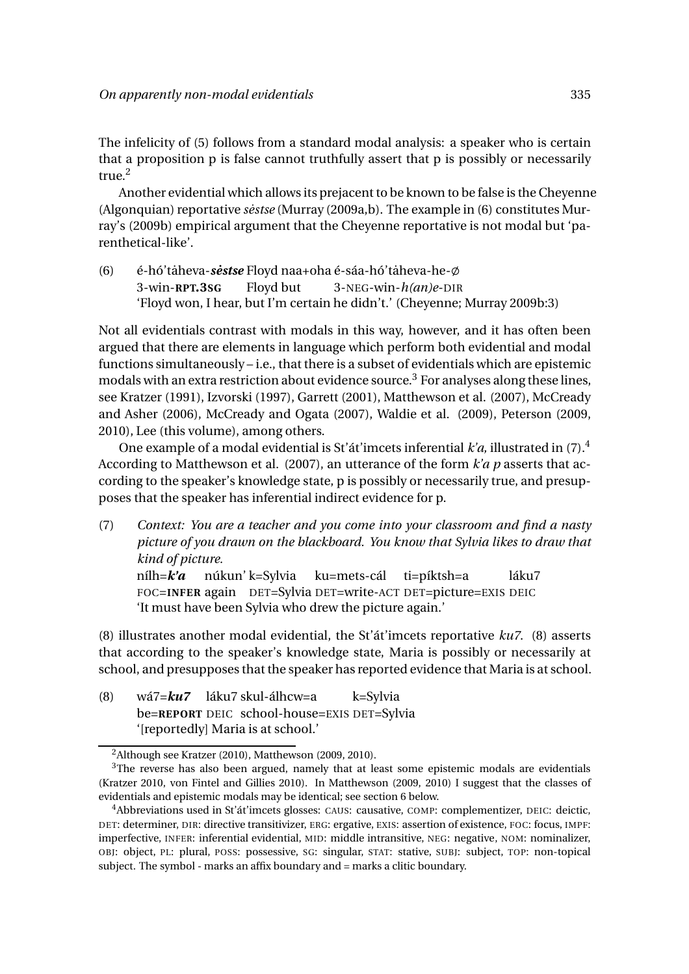The infelicity of (5) follows from a standard modal analysis: a speaker who is certain that a proposition p is false cannot truthfully assert that p is possibly or necessarily true.<sup>2</sup>

Another evidential which allows its prejacent to be known to be false is the Cheyenne (Algonquian) reportative *sestse ˙* (Murray (2009a,b). The example in (6) constitutes Murray's (2009b) empirical argument that the Cheyenne reportative is not modal but 'parenthetical-like'.

(6) é-hó'taheva-sestse Floyd naa+oha é-sáa-hó'taheva-he-ø 3-win-**RPT.3SG** Floyd but 3-NEG-win-*h(an)e*-DIR 'Floyd won, I hear, but I'm certain he didn't.' (Cheyenne; Murray 2009b:3)

Not all evidentials contrast with modals in this way, however, and it has often been argued that there are elements in language which perform both evidential and modal functions simultaneously – i.e., that there is a subset of evidentials which are epistemic modals with an extra restriction about evidence source.<sup>3</sup> For analyses along these lines, see Kratzer (1991), Izvorski (1997), Garrett (2001), Matthewson et al. (2007), McCready and Asher (2006), McCready and Ogata (2007), Waldie et al. (2009), Peterson (2009, 2010), Lee (this volume), among others.

One example of a modal evidential is St'át'imcets inferential *k'a,* illustrated in (7).<sup>4</sup> According to Matthewson et al. (2007), an utterance of the form *k'a p* asserts that according to the speaker's knowledge state, p is possibly or necessarily true, and presupposes that the speaker has inferential indirect evidence for p.

(7) *Context: You are a teacher and you come into your classroom and find a nasty picture of you drawn on the blackboard. You know that Sylvia likes to draw that kind of picture.*

nílh=*k'a* FOC=**INFER** again DET=Sylvia DET=write-ACT DET=picture=EXIS DEIC núkun' k=Sylvia ku=mets-cál ti=píktsh=a láku7 'It must have been Sylvia who drew the picture again.'

(8) illustrates another modal evidential, the St'át'imcets reportative *ku7*. (8) asserts that according to the speaker's knowledge state, Maria is possibly or necessarily at school, and presupposes that the speaker has reported evidence that Maria is at school.

(8) wá7=*ku7* láku7 skul-álhcw=a be=**REPORT** DEIC school-house=EXIS DET=Sylvia k=Sylvia '[reportedly] Maria is at school.'

 $2$ Although see Kratzer (2010), Matthewson (2009, 2010).

 $3$ The reverse has also been argued, namely that at least some epistemic modals are evidentials (Kratzer 2010, von Fintel and Gillies 2010). In Matthewson (2009, 2010) I suggest that the classes of evidentials and epistemic modals may be identical; see section 6 below.

<sup>4</sup>Abbreviations used in St'át'imcets glosses: CAUS: causative, COMP: complementizer, DEIC: deictic, DET: determiner, DIR: directive transitivizer, ERG: ergative, EXIS: assertion of existence, FOC: focus, IMPF: imperfective, INFER: inferential evidential, MID: middle intransitive, NEG: negative, NOM: nominalizer, OBJ: object, PL: plural, POSS: possessive, SG: singular, STAT: stative, SUBJ: subject, TOP: non-topical subject. The symbol - marks an affix boundary and = marks a clitic boundary.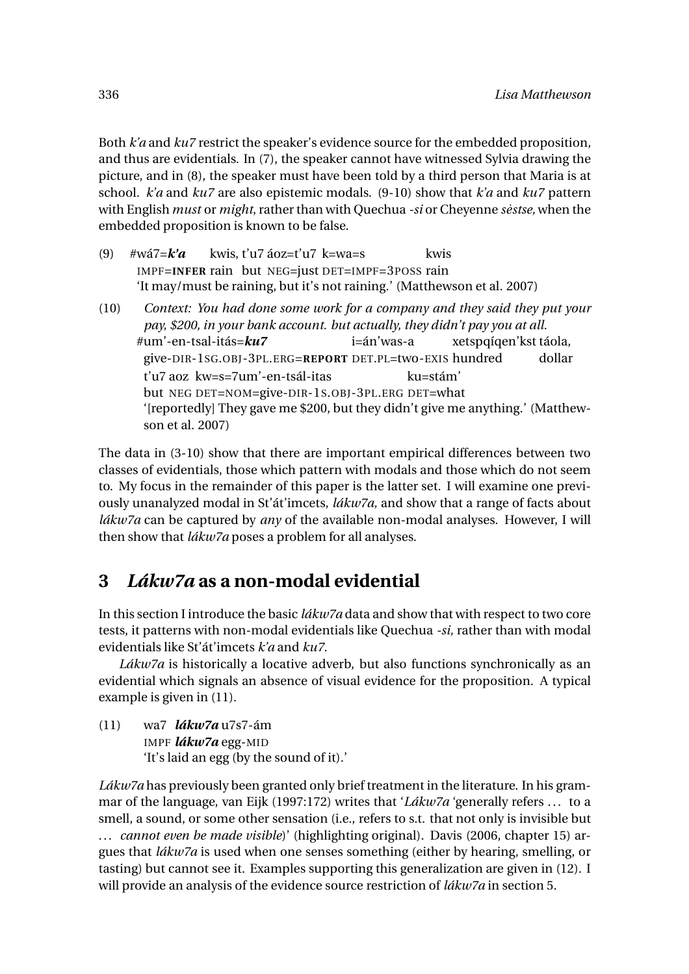Both *k'a* and *ku7* restrict the speaker's evidence source for the embedded proposition, and thus are evidentials. In (7), the speaker cannot have witnessed Sylvia drawing the picture, and in (8), the speaker must have been told by a third person that Maria is at school. *k'a* and *ku7* are also epistemic modals. (9-10) show that *k'a* and *ku7* pattern with English *must* or *might*, rather than with Quechua *-si* or Cheyenne *sestse, ˙* when the embedded proposition is known to be false.

- (9) #wá7=*k'a* IMPF=**INFER** rain but NEG=just DET=IMPF=3POSS rain kwis, t'u7 áoz=t'u7 k=wa=s kwis 'It may/must be raining, but it's not raining.' (Matthewson et al. 2007)
- (10) *Context: You had done some work for a company and they said they put your pay, \$200, in your bank account. but actually, they didn't pay you at all.* #um'-en-tsal-itás=*ku7* give-DIR-1SG.OBJ-3PL.ERG=**REPORT** DET.PL=two-EXIS hundred i=án'was-a xetspqíqen'kst táola, dollar t'u7 aoz kw=s=7um'-en-tsál-itas but NEG DET=NOM=give-DIR-1S.OBJ-3PL.ERG DET=what ku=stám' '[reportedly] They gave me \$200, but they didn't give me anything.' (Matthewson et al. 2007)

The data in (3-10) show that there are important empirical differences between two classes of evidentials, those which pattern with modals and those which do not seem to. My focus in the remainder of this paper is the latter set. I will examine one previously unanalyzed modal in St'át'imcets, *lákw7a,* and show that a range of facts about *lákw7a* can be captured by *any* of the available non-modal analyses. However, I will then show that *lákw7a* poses a problem for all analyses.

# **3** *Lákw7a* **as a non-modal evidential**

In this section I introduce the basic *lákw7a* data and show that with respect to two core tests, it patterns with non-modal evidentials like Quechua *-si,* rather than with modal evidentials like St'át'imcets *k'a* and *ku7.*

*Lákw7a* is historically a locative adverb, but also functions synchronically as an evidential which signals an absence of visual evidence for the proposition. A typical example is given in (11).

 $(11)$ IMPF *lákw7a* egg-MID *lákw7a* u7s7-ám 'It's laid an egg (by the sound of it).'

*Lákw7a* has previously been granted only brief treatment in the literature. In his grammar of the language, van Eijk (1997:172) writes that '*Lákw7a* 'generally refers ... to a smell, a sound, or some other sensation (i.e., refers to s.t. that not only is invisible but ... *cannot even be made visible*)' (highlighting original). Davis (2006, chapter 15) argues that *lákw7a* is used when one senses something (either by hearing, smelling, or tasting) but cannot see it. Examples supporting this generalization are given in (12). I will provide an analysis of the evidence source restriction of *lákw7a* in section 5.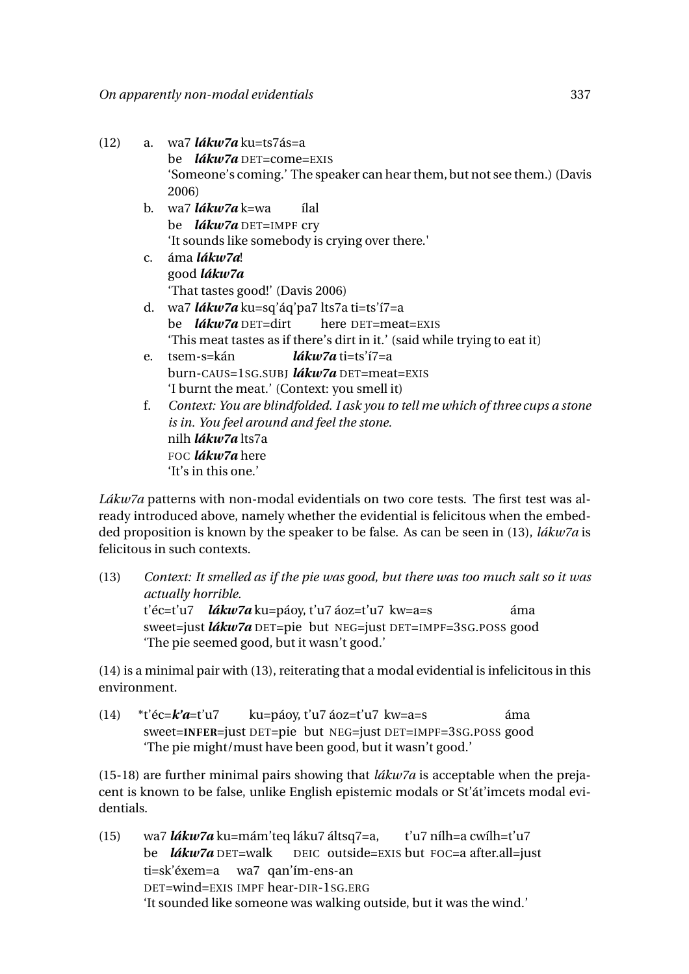(12) a. wa7 *lákw7a* ku=ts7ás=a be *lákw7a* DET=come=EXIS 'Someone's coming.' The speaker can hear them, but not see them.) (Davis 2006) b. wa7 *lákw7a* k=wa be *lákw7a* det=impf cry ílal 'It sounds like somebody is crying over there.' c. áma *lákw7a*! good *lákw7a* 'That tastes good!' (Davis 2006) d. wa7 *lákw7a* ku=sq'áq'pa7 lts7a ti=ts'í7=a be *lákw7a* DET=dirt here DET=meat=EXIS 'This meat tastes as if there's dirt in it.' (said while trying to eat it) e. tsem-s=kán burn-CAUS=1SG.SUBJ *lákw7a* DET=meat=EXIS *lákw7a* ti=ts'í7=a 'I burnt the meat.' (Context: you smell it) f. *Context: You are blindfolded. I ask you to tell me which of three cups a stone is in. You feel around and feel the stone.* nilh *lákw7a* lts7a FOC *lákw7a* here 'It's in this one.'

*Lákw7a* patterns with non-modal evidentials on two core tests. The first test was already introduced above, namely whether the evidential is felicitous when the embedded proposition is known by the speaker to be false. As can be seen in (13), *lákw7a* is felicitous in such contexts.

(13) *Context: It smelled as if the pie was good, but there was too much salt so it was actually horrible.* t'éc=t'u7 *lákw7a* ku=páoy, t'u7 áoz=t'u7 kw=a=s sweet=just *lákw7a* DET=pie but neG=just DET=IMPF=3sG.POSS good áma 'The pie seemed good, but it wasn't good.'

(14) is a minimal pair with (13), reiterating that a modal evidential is infelicitous in this environment.

(14) \*t'éc=*k'a*=t'u7 sweet=**INFER**=just DET=pie but NEG=just DET=IMPF=3SG.POSS good ku=páoy, t'u7 áoz=t'u7 kw=a=s áma 'The pie might/must have been good, but it wasn't good.'

(15-18) are further minimal pairs showing that *lákw7a* is acceptable when the prejacent is known to be false, unlike English epistemic modals or St'át'imcets modal evidentials.

(15) wa7 *lákw7a* ku=mám'teq láku7 áltsq7=a, be *lákw7a* DET=walk DEIC outside=EXIS but FOC=a after.all=just t'u7 nílh=a cwílh=t'u7 ti=sk'éxem=a wa7 qan'ím-ens-an DET=wind=EXIS IMPF hear-DIR-1SG.ERG 'It sounded like someone was walking outside, but it was the wind.'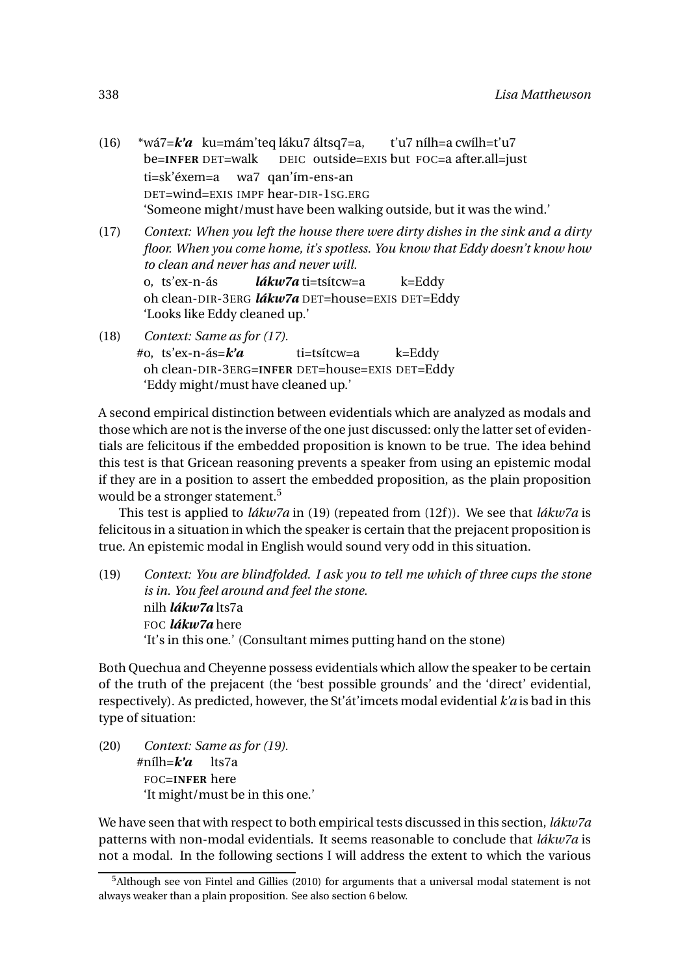- (16) \*wá7=*k'a* ku=mám'teq láku7 áltsq7=a, be=**INFER** DET=walk DEIC outside=EXIS but FOC=a after.all=just t'u7 nílh=a cwílh=t'u7 ti=sk'éxem=a wa7 qan'ím-ens-an DET=wind=EXIS IMPF hear-DIR-1SG.ERG 'Someone might/must have been walking outside, but it was the wind.'
- (17) *Context: When you left the house there were dirty dishes in the sink and a dirty floor. When you come home, it's spotless. You know that Eddy doesn't know how to clean and never has and never will.*

o, ts'ex-n-ás oh clean-DIR-3ERG *lákw7a DET=house=EXIS DET=Edd*y *lákw7a* ti=tsítcw=a k=Eddy 'Looks like Eddy cleaned up.'

(18) *Context: Same as for (17).*

#o, ts'ex-n-ás=*k'a* oh clean-DIR-3ERG=**INFER** DET=house=EXIS DET=Eddy ti=tsítcw=a k=Eddy 'Eddy might/must have cleaned up.'

A second empirical distinction between evidentials which are analyzed as modals and those which are not is the inverse of the one just discussed: only the latter set of evidentials are felicitous if the embedded proposition is known to be true. The idea behind this test is that Gricean reasoning prevents a speaker from using an epistemic modal if they are in a position to assert the embedded proposition, as the plain proposition would be a stronger statement.<sup>5</sup>

This test is applied to *lákw7a* in (19) (repeated from (12f )). We see that *lákw7a* is felicitous in a situation in which the speaker is certain that the prejacent proposition is true. An epistemic modal in English would sound very odd in this situation.

(19) *Context: You are blindfolded. I ask you to tell me which of three cups the stone is in. You feel around and feel the stone.* nilh *lákw7a* lts7a FOC *lákw7a* here 'It's in this one.' (Consultant mimes putting hand on the stone)

Both Quechua and Cheyenne possess evidentials which allow the speaker to be certain of the truth of the prejacent (the 'best possible grounds' and the 'direct' evidential, respectively). As predicted, however, the St'át'imcets modal evidential *k'a* is bad in this type of situation:

(20) *Context: Same as for (19).* #nílh=*k'a* FOC=**INFER** here lts7a 'It might/must be in this one.'

We have seen that with respect to both empirical tests discussed in this section, *lákw7a* patterns with non-modal evidentials. It seems reasonable to conclude that *lákw7a* is not a modal. In the following sections I will address the extent to which the various

<sup>5</sup>Although see von Fintel and Gillies (2010) for arguments that a universal modal statement is not always weaker than a plain proposition. See also section 6 below.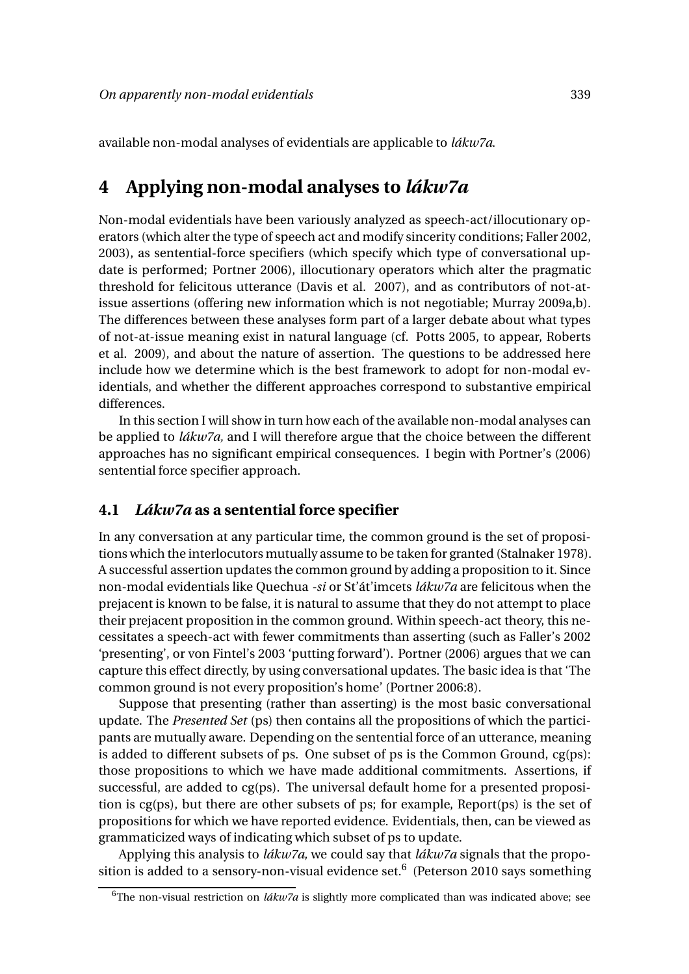available non-modal analyses of evidentials are applicable to *lákw7a*.

## **4 Applying non-modal analyses to** *lákw7a*

Non-modal evidentials have been variously analyzed as speech-act/illocutionary operators (which alter the type of speech act and modify sincerity conditions; Faller 2002, 2003), as sentential-force specifiers (which specify which type of conversational update is performed; Portner 2006), illocutionary operators which alter the pragmatic threshold for felicitous utterance (Davis et al. 2007), and as contributors of not-atissue assertions (offering new information which is not negotiable; Murray 2009a,b). The differences between these analyses form part of a larger debate about what types of not-at-issue meaning exist in natural language (cf. Potts 2005, to appear, Roberts et al. 2009), and about the nature of assertion. The questions to be addressed here include how we determine which is the best framework to adopt for non-modal evidentials, and whether the different approaches correspond to substantive empirical differences.

In this section I will show in turn how each of the available non-modal analyses can be applied to *lákw7a,* and I will therefore argue that the choice between the different approaches has no significant empirical consequences. I begin with Portner's (2006) sentential force specifier approach.

#### **4.1** *Lákw7a* **as a sentential force specifier**

In any conversation at any particular time, the common ground is the set of propositions which the interlocutors mutually assume to be taken for granted (Stalnaker 1978). A successful assertion updates the common ground by adding a proposition to it. Since non-modal evidentials like Quechua *-si* or St'át'imcets *lákw7a* are felicitous when the prejacent is known to be false, it is natural to assume that they do not attempt to place their prejacent proposition in the common ground. Within speech-act theory, this necessitates a speech-act with fewer commitments than asserting (such as Faller's 2002 'presenting', or von Fintel's 2003 'putting forward'). Portner (2006) argues that we can capture this effect directly, by using conversational updates. The basic idea is that 'The common ground is not every proposition's home' (Portner 2006:8).

Suppose that presenting (rather than asserting) is the most basic conversational update. The *Presented Set* (ps) then contains all the propositions of which the participants are mutually aware. Depending on the sentential force of an utterance, meaning is added to different subsets of ps. One subset of ps is the Common Ground, cg(ps): those propositions to which we have made additional commitments. Assertions, if successful, are added to cg(ps). The universal default home for a presented proposition is cg(ps), but there are other subsets of ps; for example, Report(ps) is the set of propositions for which we have reported evidence. Evidentials, then, can be viewed as grammaticized ways of indicating which subset of ps to update.

Applying this analysis to *lákw7a,* we could say that *lákw7a* signals that the proposition is added to a sensory-non-visual evidence set. $^6\,$  (Peterson 2010 says something

<sup>&</sup>lt;sup>6</sup>The non-visual restriction on *lákw7a* is slightly more complicated than was indicated above; see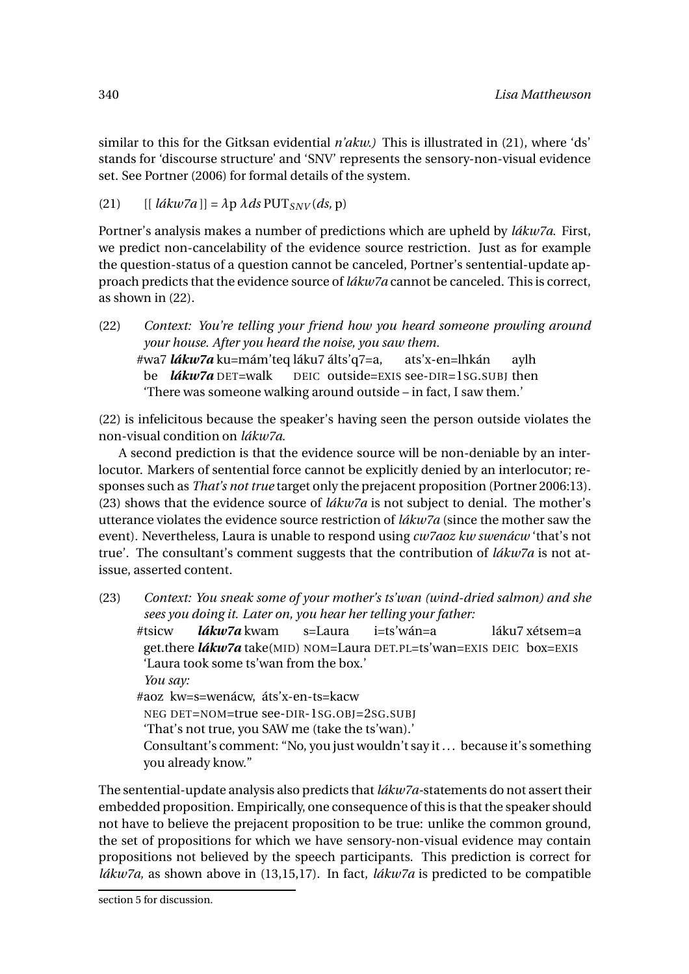similar to this for the Gitksan evidential *n'akw.)* This is illustrated in (21), where 'ds' stands for 'discourse structure' and 'SNV' represents the sensory-non-visual evidence set. See Portner (2006) for formal details of the system.

(21) 
$$
[[\,l\acute{a}kw7a\,]] = \lambda p \,\lambda ds \, PUT_{SNV}(ds, p)
$$

Portner's analysis makes a number of predictions which are upheld by *lákw7a.* First, we predict non-cancelability of the evidence source restriction. Just as for example the question-status of a question cannot be canceled, Portner's sentential-update approach predicts that the evidence source of *lákw7a* cannot be canceled. This is correct, as shown in (22).

(22) *Context: You're telling your friend how you heard someone prowling around your house. After you heard the noise, you saw them.* #wa7 *lákw7a* ku=mám'teq láku7 álts'q7=a, be *lákw7a* DET=walk DEIC outside=EXIS see-DIR=1SG.SUBJ then ats'x-en=lhkán aylh 'There was someone walking around outside – in fact, I saw them.'

(22) is infelicitous because the speaker's having seen the person outside violates the non-visual condition on *lákw7a.*

A second prediction is that the evidence source will be non-deniable by an interlocutor. Markers of sentential force cannot be explicitly denied by an interlocutor; responses such as *That's not true* target only the prejacent proposition (Portner 2006:13). (23) shows that the evidence source of *lákw7a* is not subject to denial. The mother's utterance violates the evidence source restriction of *lákw7a* (since the mother saw the event). Nevertheless, Laura is unable to respond using *cw7aoz kw swenácw* 'that's not true'. The consultant's comment suggests that the contribution of *lákw7a* is not atissue, asserted content.

(23) *Context: You sneak some of your mother's ts'wan (wind-dried salmon) and she sees you doing it. Later on, you hear her telling your father:*

#tsicw get.there *lákw7a* take(MID) NOM=Laura DET.PL=ts'wan=EXIS DEIC box=EXIS *lákw7a* kwam s=Laura i=ts'wán=a láku7 xétsem=a 'Laura took some ts'wan from the box.' *You say:*

#aoz kw=s=wenácw, áts'x-en-ts=kacw

NEG DET=NOM=true see-DIR-1SG.OBJ=2SG.SUBJ

'That's not true, you SAW me (take the ts'wan).'

Consultant's comment: "No, you just wouldn't say it ... because it's something you already know."

The sentential-update analysis also predicts that *lákw7a-*statements do not assert their embedded proposition. Empirically, one consequence of this is that the speaker should not have to believe the prejacent proposition to be true: unlike the common ground, the set of propositions for which we have sensory-non-visual evidence may contain propositions not believed by the speech participants. This prediction is correct for *lákw7a,* as shown above in (13,15,17). In fact, *lákw7a* is predicted to be compatible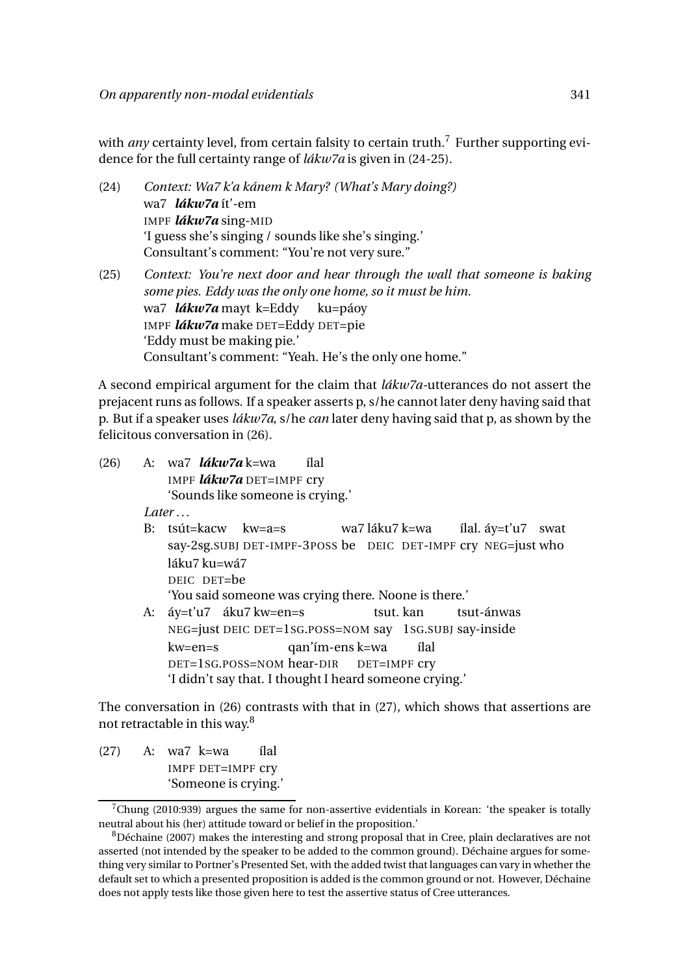with *any* certainty level, from certain falsity to certain truth.<sup>7</sup> Further supporting evidence for the full certainty range of *lákw7a* is given in (24-25).

- (24) *Context: Wa7 k'a kánem k Mary? (What's Mary doing?)* wa7 *<i>lákw7a* ít'-em IMPF *lákw7a* sing-MID 'I guess she's singing / sounds like she's singing.' Consultant's comment: "You're not very sure."
- (25) *Context: You're next door and hear through the wall that someone is baking some pies. Eddy was the only one home, so it must be him.* wa7 *lákw7a* mayt k=Eddy IMPF *lákw7a* make DET=Eddy DET=pie ku=páoy 'Eddy must be making pie.' Consultant's comment: "Yeah. He's the only one home."

A second empirical argument for the claim that *lákw7a-*utterances do not assert the prejacent runs as follows. If a speaker asserts p, s/he cannot later deny having said that p. But if a speaker uses *lákw7a*, s/he *can* later deny having said that p, as shown by the felicitous conversation in (26).

(26) A: wa7 *lákw7a* k=wa IMPF *lákw7a* DET=IMPF cry ílal 'Sounds like someone is crying.'

*Later ...*

B: tsút=kacw kw=a=s say-2sg. SUBJ DET-IMPF-3POSS be DEIC DET-IMPF cry NEG=just who wa7 láku7 k=wa ílal. áy=t'u7 swat láku7 ku=wá7 DEIC DET=be

'You said someone was crying there. Noone is there.'

A: áy=t'u7 áku7 kw=en=s NEG=just DEIC DET=1SG.POSS=NOM say 1SG.SUBJ say-inside tsut. kan tsut-ánwas  $kw=ens$ DET=1SG.POSS=NOM hear-DIR qan'ím-ens k=wa DET=IMPF cry ílal 'I didn't say that. I thought I heard someone crying.'

The conversation in (26) contrasts with that in (27), which shows that assertions are not retractable in this way.<sup>8</sup>

(27) A: wa7 k=wa IMPF DET=IMPF cry ílal 'Someone is crying.'

 $7$ Chung (2010:939) argues the same for non-assertive evidentials in Korean: 'the speaker is totally neutral about his (her) attitude toward or belief in the proposition.'

<sup>8</sup>Déchaine (2007) makes the interesting and strong proposal that in Cree, plain declaratives are not asserted (not intended by the speaker to be added to the common ground). Déchaine argues for something very similar to Portner's Presented Set, with the added twist that languages can vary in whether the default set to which a presented proposition is added is the common ground or not. However, Déchaine does not apply tests like those given here to test the assertive status of Cree utterances.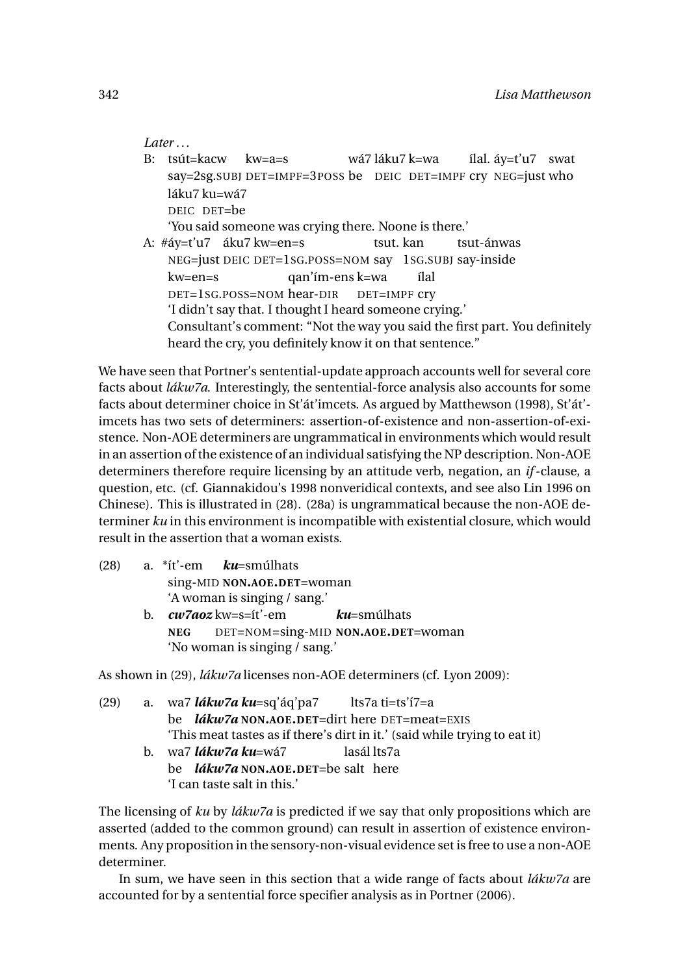#### *Later ...*

B: tsút=kacw kw=a=s say=2sg.subJ DET=IMPF=3POSS be DEIC DET=IMPF cry NEG=just who wá7 láku7 k=wa ílal. áy=t'u7 swat láku7 ku=wá7 DEIC DET=be 'You said someone was crying there. Noone is there.' A: #áy=t'u7 áku7 kw=en=s NEG=just DEIC DET=1SG.POSS=NOM say 1SG.SUBJ say-inside tsut. kan tsut-ánwas kw=en=s DET=1SG.POSS=NOM hear-DIR qan'ím-ens k=wa DET=IMPF cry ílal 'I didn't say that. I thought I heard someone crying.' Consultant's comment: "Not the way you said the first part. You definitely

heard the cry, you definitely know it on that sentence."

We have seen that Portner's sentential-update approach accounts well for several core facts about *lákw7a*. Interestingly, the sentential-force analysis also accounts for some facts about determiner choice in St'át'imcets. As argued by Matthewson (1998), St'át' imcets has two sets of determiners: assertion-of-existence and non-assertion-of-existence. Non-AOE determiners are ungrammatical in environments which would result in an assertion of the existence of an individual satisfying the NP description. Non-AOE determiners therefore require licensing by an attitude verb, negation, an *if*-clause, a question, etc. (cf. Giannakidou's 1998 nonveridical contexts, and see also Lin 1996 on Chinese). This is illustrated in (28). (28a) is ungrammatical because the non-AOE determiner *ku* in this environment is incompatible with existential closure, which would result in the assertion that a woman exists.

| (28) |  |                                                            | a. *ít'-em ku=smúlhats       |                                        |  |
|------|--|------------------------------------------------------------|------------------------------|----------------------------------------|--|
|      |  | sing-MID NON.AOE.DET=woman<br>'A woman is singing / sang.' |                              |                                        |  |
|      |  |                                                            |                              |                                        |  |
|      |  |                                                            | b. <i>cw7aoz</i> kw=s=ít'-em | <i>ku</i> =smúlhats                    |  |
|      |  |                                                            |                              | NEG DET=NOM=sing-MID NON.AOE.DET=woman |  |
|      |  | 'No woman is singing / sang.'                              |                              |                                        |  |

As shown in (29), *lákw7a* licenses non-AOE determiners (cf. Lyon 2009):

- (29) a. wa7 *lákw7a ku*=sq'áq'pa7 be *lákw7a* **NON.AOE.DET**=dirt here DET=meat=EXIS lts7a ti=ts'í7=a 'This meat tastes as if there's dirt in it.' (said while trying to eat it)
	- b. wa7 *lákw7a ku*=wá7 be *lákw7a* **NON.AOE.DET**=be salt here lasál lts7a 'I can taste salt in this.'

The licensing of *ku* by *lákw7a* is predicted if we say that only propositions which are asserted (added to the common ground) can result in assertion of existence environments. Any proposition in the sensory-non-visual evidence set is free to use a non-AOE determiner.

In sum, we have seen in this section that a wide range of facts about *lákw7a* are accounted for by a sentential force specifier analysis as in Portner (2006).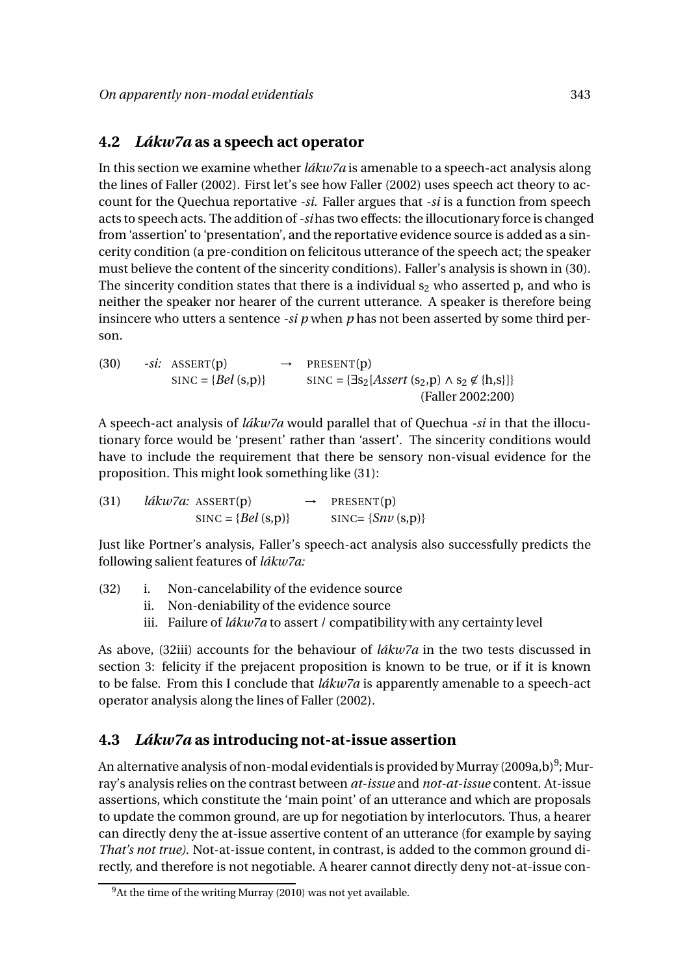#### **4.2** *Lákw7a* **as a speech act operator**

In this section we examine whether *lákw7a* is amenable to a speech-act analysis along the lines of Faller (2002). First let's see how Faller (2002) uses speech act theory to account for the Quechua reportative *-si*. Faller argues that *-si* is a function from speech acts to speech acts. The addition of*-si*has two effects: the illocutionary force is changed from 'assertion' to 'presentation', and the reportative evidence source is added as a sincerity condition (a pre-condition on felicitous utterance of the speech act; the speaker must believe the content of the sincerity conditions). Faller's analysis is shown in (30). The sincerity condition states that there is a individual  $s_2$  who asserted p, and who is neither the speaker nor hearer of the current utterance. A speaker is therefore being insincere who utters a sentence *-si p* when *p* has not been asserted by some third person.

(30)  $-si$ : ASSERT(p)  $\rightarrow$  PRESENT(p)  $SINC = {Bel(s,p)}$   $SINC = {∃s_2[assert(s_2,p) ∧ s_2 ∉ {h,s}]}$ (Faller 2002:200)

A speech-act analysis of *lákw7a* would parallel that of Quechua *-si* in that the illocutionary force would be 'present' rather than 'assert'. The sincerity conditions would have to include the requirement that there be sensory non-visual evidence for the proposition. This might look something like (31):

(31) 
$$
ldkw7a
$$
: ASSENT(p)  $\rightarrow$  PRESENT(p)  
SINC = {Bel(s,p)} SINC = {Snv(s,p)}

Just like Portner's analysis, Faller's speech-act analysis also successfully predicts the following salient features of *lákw7a:*

- (32) i. Non-cancelability of the evidence source
	- ii. Non-deniability of the evidence source
	- iii. Failure of *lákw7a* to assert / compatibility with any certainty level

As above, (32iii) accounts for the behaviour of *lákw7a* in the two tests discussed in section 3: felicity if the prejacent proposition is known to be true, or if it is known to be false. From this I conclude that *lákw7a* is apparently amenable to a speech-act operator analysis along the lines of Faller (2002).

#### **4.3** *Lákw7a* **as introducing not-at-issue assertion**

An alternative analysis of non-modal evidentials is provided by Murray (2009a,b) $^9$ ; Murray's analysis relies on the contrast between *at-issue* and *not-at-issue* content. At-issue assertions, which constitute the 'main point' of an utterance and which are proposals to update the common ground, are up for negotiation by interlocutors. Thus, a hearer can directly deny the at-issue assertive content of an utterance (for example by saying *That's not true)*. Not-at-issue content, in contrast, is added to the common ground directly, and therefore is not negotiable. A hearer cannot directly deny not-at-issue con-

 $9$ At the time of the writing Murray (2010) was not yet available.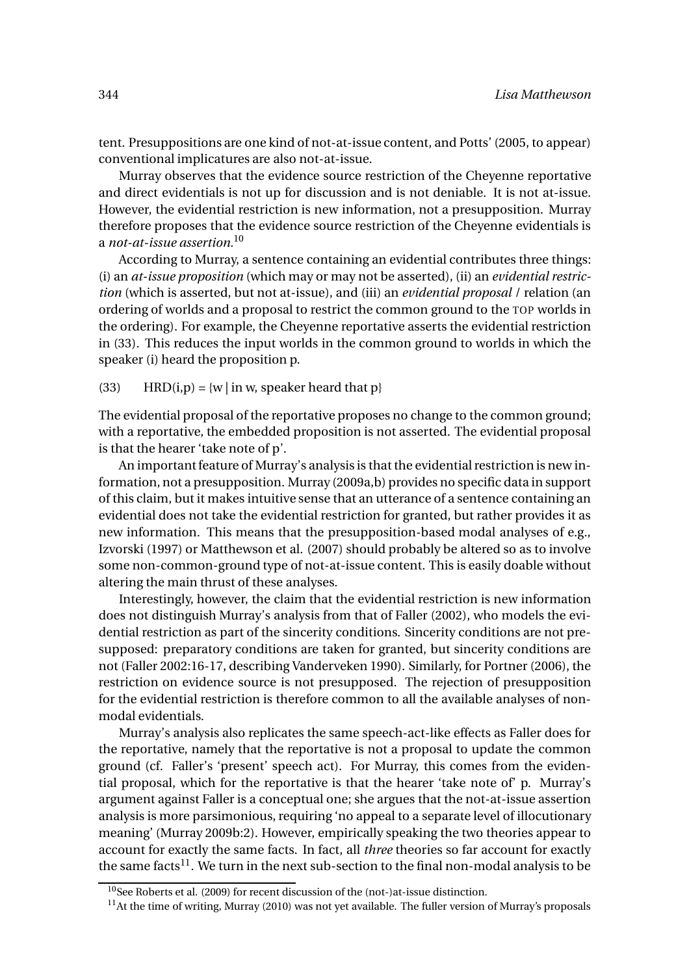tent. Presuppositions are one kind of not-at-issue content, and Potts' (2005, to appear) conventional implicatures are also not-at-issue.

Murray observes that the evidence source restriction of the Cheyenne reportative and direct evidentials is not up for discussion and is not deniable. It is not at-issue. However, the evidential restriction is new information, not a presupposition. Murray therefore proposes that the evidence source restriction of the Cheyenne evidentials is a *not-at-issue assertion.*<sup>10</sup>

According to Murray, a sentence containing an evidential contributes three things: (i) an *at-issue proposition* (which may or may not be asserted), (ii) an *evidential restriction* (which is asserted, but not at-issue), and (iii) an *evidential proposal* / relation (an ordering of worlds and a proposal to restrict the common ground to the TOP worlds in the ordering). For example, the Cheyenne reportative asserts the evidential restriction in (33). This reduces the input worlds in the common ground to worlds in which the speaker (i) heard the proposition p.

(33) HRD(i,p) =  $\{w \mid in \, w, \, speaker \, heard \, that \, p\}$ 

The evidential proposal of the reportative proposes no change to the common ground; with a reportative, the embedded proposition is not asserted. The evidential proposal is that the hearer 'take note of p'.

An important feature of Murray's analysis is that the evidential restriction is new information, not a presupposition. Murray (2009a,b) provides no specific data in support of this claim, but it makes intuitive sense that an utterance of a sentence containing an evidential does not take the evidential restriction for granted, but rather provides it as new information. This means that the presupposition-based modal analyses of e.g., Izvorski (1997) or Matthewson et al. (2007) should probably be altered so as to involve some non-common-ground type of not-at-issue content. This is easily doable without altering the main thrust of these analyses.

Interestingly, however, the claim that the evidential restriction is new information does not distinguish Murray's analysis from that of Faller (2002), who models the evidential restriction as part of the sincerity conditions. Sincerity conditions are not presupposed: preparatory conditions are taken for granted, but sincerity conditions are not (Faller 2002:16-17, describing Vanderveken 1990). Similarly, for Portner (2006), the restriction on evidence source is not presupposed. The rejection of presupposition for the evidential restriction is therefore common to all the available analyses of nonmodal evidentials.

Murray's analysis also replicates the same speech-act-like effects as Faller does for the reportative, namely that the reportative is not a proposal to update the common ground (cf. Faller's 'present' speech act). For Murray, this comes from the evidential proposal, which for the reportative is that the hearer 'take note of' p. Murray's argument against Faller is a conceptual one; she argues that the not-at-issue assertion analysis is more parsimonious, requiring 'no appeal to a separate level of illocutionary meaning' (Murray 2009b:2). However, empirically speaking the two theories appear to account for exactly the same facts. In fact, all *three* theories so far account for exactly the same facts<sup>11</sup>. We turn in the next sub-section to the final non-modal analysis to be

<sup>10</sup>See Roberts et al. (2009) for recent discussion of the (not-)at-issue distinction.

 $11$ At the time of writing, Murray (2010) was not yet available. The fuller version of Murray's proposals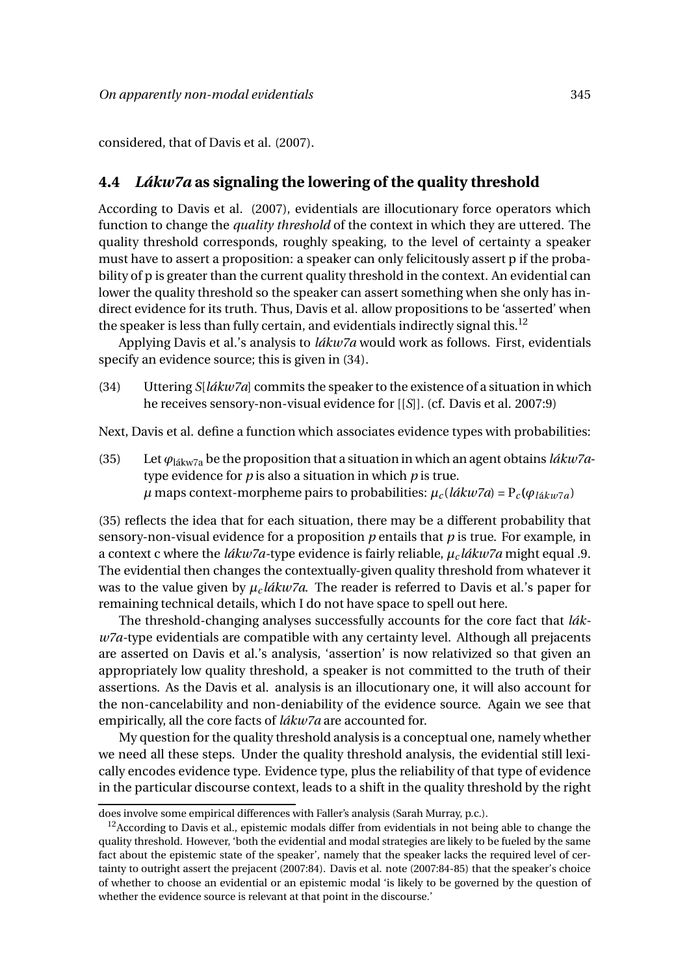considered, that of Davis et al. (2007).

#### **4.4** *Lákw7a* **as signaling the lowering of the quality threshold**

According to Davis et al. (2007), evidentials are illocutionary force operators which function to change the *quality threshold* of the context in which they are uttered. The quality threshold corresponds, roughly speaking, to the level of certainty a speaker must have to assert a proposition: a speaker can only felicitously assert p if the probability of p is greater than the current quality threshold in the context. An evidential can lower the quality threshold so the speaker can assert something when she only has indirect evidence for its truth. Thus, Davis et al. allow propositions to be 'asserted' when the speaker is less than fully certain, and evidentials indirectly signal this.<sup>12</sup>

Applying Davis et al.'s analysis to *lákw7a* would work as follows. First, evidentials specify an evidence source; this is given in (34).

(34) Uttering *S*[*lákw7a*] commits the speaker to the existence of a situation in which he receives sensory-non-visual evidence for [[*S*]]. (cf. Davis et al. 2007:9)

Next, Davis et al. define a function which associates evidence types with probabilities:

(35) Let  $\varphi_{\text{lákw7a}}$  be the proposition that a situation in which an agent obtains *lákw7a*type evidence for *p* is also a situation in which *p* is true.  $\mu$  maps context-morpheme pairs to probabilities:  $\mu_c$  (*lákw7a*) =  $P_c$  ( $\varphi$ <sub>*lákw7a*)</sub>

(35) reflects the idea that for each situation, there may be a different probability that sensory-non-visual evidence for a proposition *p* entails that *p* is true. For example, in a context c where the *lákw7a-*type evidence is fairly reliable, *µ<sup>c</sup> lákw7a* might equal .9. The evidential then changes the contextually-given quality threshold from whatever it was to the value given by  $\mu_c \ell \hat{a} \hat{k} w \hat{a}$ . The reader is referred to Davis et al.'s paper for remaining technical details, which I do not have space to spell out here.

The threshold-changing analyses successfully accounts for the core fact that *lákw7a-*type evidentials are compatible with any certainty level. Although all prejacents are asserted on Davis et al.'s analysis, 'assertion' is now relativized so that given an appropriately low quality threshold, a speaker is not committed to the truth of their assertions. As the Davis et al. analysis is an illocutionary one, it will also account for the non-cancelability and non-deniability of the evidence source. Again we see that empirically, all the core facts of *lákw7a* are accounted for.

My question for the quality threshold analysis is a conceptual one, namely whether we need all these steps. Under the quality threshold analysis, the evidential still lexically encodes evidence type. Evidence type, plus the reliability of that type of evidence in the particular discourse context, leads to a shift in the quality threshold by the right

does involve some empirical differences with Faller's analysis (Sarah Murray, p.c.).

 $12$ According to Davis et al., epistemic modals differ from evidentials in not being able to change the quality threshold. However, 'both the evidential and modal strategies are likely to be fueled by the same fact about the epistemic state of the speaker', namely that the speaker lacks the required level of certainty to outright assert the prejacent (2007:84). Davis et al. note (2007:84-85) that the speaker's choice of whether to choose an evidential or an epistemic modal 'is likely to be governed by the question of whether the evidence source is relevant at that point in the discourse.'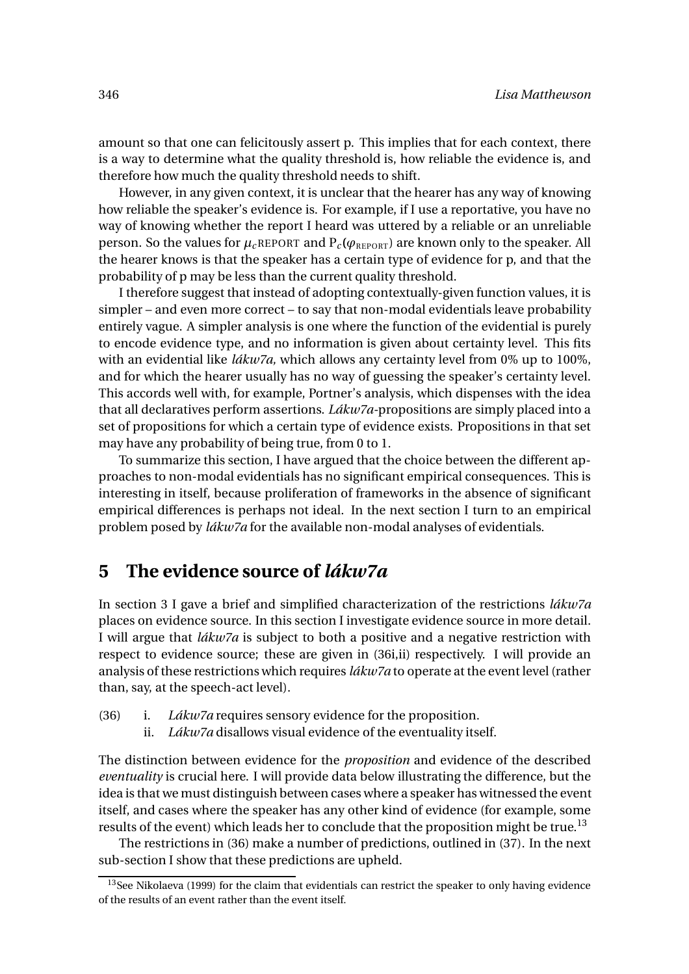amount so that one can felicitously assert p. This implies that for each context, there is a way to determine what the quality threshold is, how reliable the evidence is, and therefore how much the quality threshold needs to shift.

However, in any given context, it is unclear that the hearer has any way of knowing how reliable the speaker's evidence is. For example, if I use a reportative, you have no way of knowing whether the report I heard was uttered by a reliable or an unreliable person. So the values for  $\mu_c$ REPORT and  $P_c(\varphi_{REPORT})$  are known only to the speaker. All the hearer knows is that the speaker has a certain type of evidence for p, and that the probability of p may be less than the current quality threshold.

I therefore suggest that instead of adopting contextually-given function values, it is simpler – and even more correct – to say that non-modal evidentials leave probability entirely vague. A simpler analysis is one where the function of the evidential is purely to encode evidence type, and no information is given about certainty level. This fits with an evidential like *lákw7a,* which allows any certainty level from 0% up to 100%, and for which the hearer usually has no way of guessing the speaker's certainty level. This accords well with, for example, Portner's analysis, which dispenses with the idea that all declaratives perform assertions. *Lákw7a-*propositions are simply placed into a set of propositions for which a certain type of evidence exists. Propositions in that set may have any probability of being true, from 0 to 1.

To summarize this section, I have argued that the choice between the different approaches to non-modal evidentials has no significant empirical consequences. This is interesting in itself, because proliferation of frameworks in the absence of significant empirical differences is perhaps not ideal. In the next section I turn to an empirical problem posed by *lákw7a* for the available non-modal analyses of evidentials.

### **5 The evidence source of** *lákw7a*

In section 3 I gave a brief and simplified characterization of the restrictions *lákw7a* places on evidence source. In this section I investigate evidence source in more detail. I will argue that *lákw7a* is subject to both a positive and a negative restriction with respect to evidence source; these are given in (36i,ii) respectively. I will provide an analysis of these restrictions which requires *lákw7a* to operate at the event level (rather than, say, at the speech-act level).

- (36) i. *Lákw7a* requires sensory evidence for the proposition.
	- ii. *Lákw7a* disallows visual evidence of the eventuality itself.

The distinction between evidence for the *proposition* and evidence of the described *eventuality* is crucial here. I will provide data below illustrating the difference, but the idea is that we must distinguish between cases where a speaker has witnessed the event itself, and cases where the speaker has any other kind of evidence (for example, some results of the event) which leads her to conclude that the proposition might be true.<sup>13</sup>

The restrictions in (36) make a number of predictions, outlined in (37). In the next sub-section I show that these predictions are upheld.

<sup>&</sup>lt;sup>13</sup>See Nikolaeva (1999) for the claim that evidentials can restrict the speaker to only having evidence of the results of an event rather than the event itself.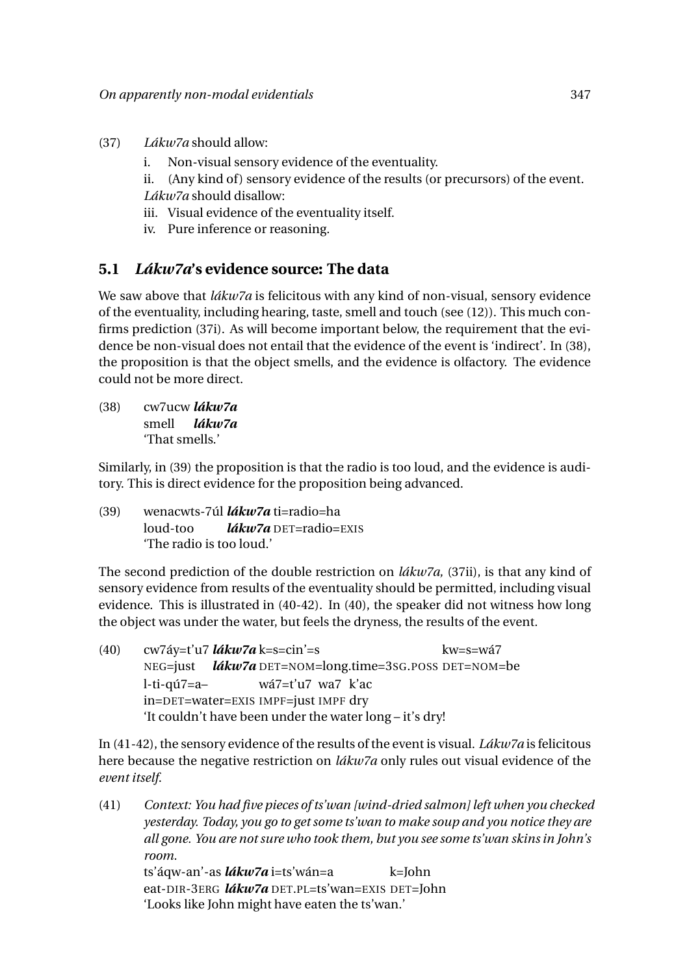- (37) *Lákw7a* should allow:
	- i. Non-visual sensory evidence of the eventuality.

ii. (Any kind of) sensory evidence of the results (or precursors) of the event. *Lákw7a* should disallow:

- iii. Visual evidence of the eventuality itself.
- iv. Pure inference or reasoning.

#### **5.1** *Lákw7a***'s evidence source: The data**

We saw above that *lákw7a* is felicitous with any kind of non-visual, sensory evidence of the eventuality, including hearing, taste, smell and touch (see (12)). This much confirms prediction (37i). As will become important below, the requirement that the evidence be non-visual does not entail that the evidence of the event is 'indirect'. In (38), the proposition is that the object smells, and the evidence is olfactory. The evidence could not be more direct.

(38) cw7ucw *lákw7a* smell *lákw7a* 'That smells.'

Similarly, in (39) the proposition is that the radio is too loud, and the evidence is auditory. This is direct evidence for the proposition being advanced.

(39) wenacwts-7úl *lákw7a* ti=radio=ha loud-too *lákw7a* DET=radio=EXIS 'The radio is too loud.'

The second prediction of the double restriction on *lákw7a,* (37ii), is that any kind of sensory evidence from results of the eventuality should be permitted, including visual evidence. This is illustrated in (40-42). In (40), the speaker did not witness how long the object was under the water, but feels the dryness, the results of the event.

(40) cw7áy=t'u7 *lákw7a* k=s=cin'=s NEG=just *lákw7a* DET=NOM=long.time=3SG.POSS DET=NOM=be kw=s=wá7 l-ti-qú7=a– in=DET=water=EXIS IMPF=just IMPF dry wá7=t'u7 wa7 k'ac 'It couldn't have been under the water long – it's dry!

In (41-42), the sensory evidence of the results of the event is visual. *Lákw7a* is felicitous here because the negative restriction on *lákw7a* only rules out visual evidence of the *event itself*.

(41) *Context: You had five pieces of ts'wan [wind-dried salmon] left when you checked yesterday. Today, you go to get some ts'wan to make soup and you notice they are all gone. You are not sure who took them, but you see some ts'wan skins in John's room.* ts'áqw-an'-as *lákw7a* i=ts'wán=a k=John

eat-DIR-3ERG *lákw7a* DET.PL=ts'wan=EXIS DET=John 'Looks like John might have eaten the ts'wan.'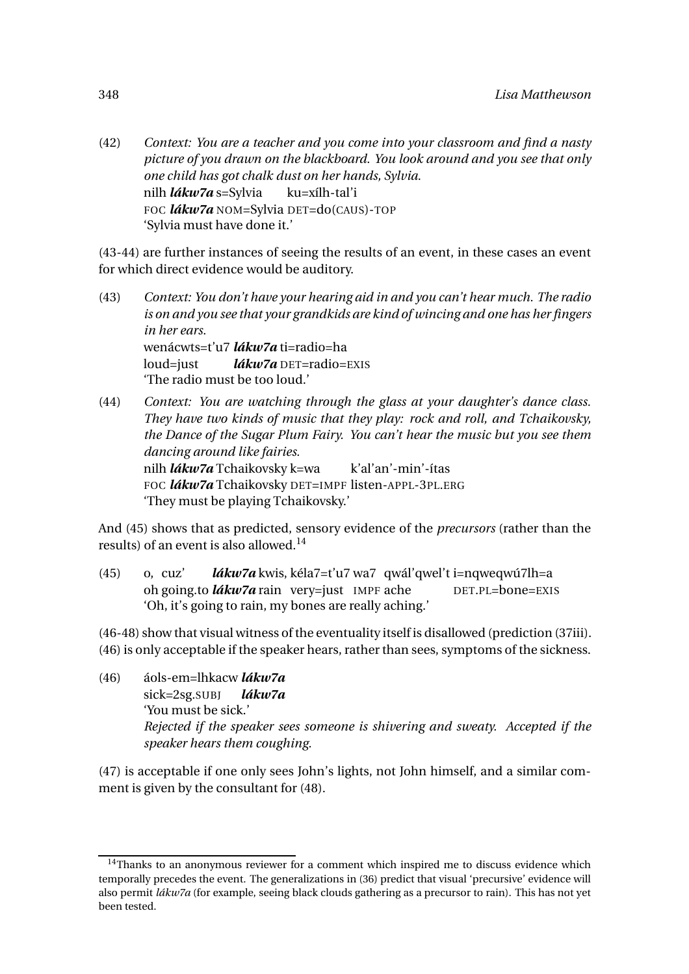(42) *Context: You are a teacher and you come into your classroom and find a nasty picture of you drawn on the blackboard. You look around and you see that only one child has got chalk dust on her hands, Sylvia.* nilh *lákw7a* s=Sylvia FOC *lákw7a* NOM=Sylvia DET=do(CAUS)-TOP ku=xílh-tal'i 'Sylvia must have done it.'

(43-44) are further instances of seeing the results of an event, in these cases an event for which direct evidence would be auditory.

- (43) *Context: You don't have your hearing aid in and you can't hear much. The radio is on and you see that your grandkids are kind of wincing and one has her fingers in her ears.* wenácwts=t'u7 *lákw7a* ti=radio=ha loud=just *lákw7a* DET=radio=EXIS 'The radio must be too loud.'
- (44) *Context: You are watching through the glass at your daughter's dance class. They have two kinds of music that they play: rock and roll, and Tchaikovsky, the Dance of the Sugar Plum Fairy. You can't hear the music but you see them dancing around like fairies.* nilh *lákw7a* Tchaikovsky k=wa FOC *lákw7a* Tchaikovsky DET=IMPF listen-APPL-3PL.ERG k'al'an'-min'-ítas 'They must be playing Tchaikovsky.'

And (45) shows that as predicted, sensory evidence of the *precursors* (rather than the results) of an event is also allowed.<sup>14</sup>

 $(45)$ oh going.to *lákw7a* rain very=just IMPF ache o, cuz' *lákw7a* kwis, kéla7=ť u7 wa7 qwál'qwel't i=nqweqwú7lh=a DET.PL=bone=EXIS 'Oh, it's going to rain, my bones are really aching.'

(46-48) show that visual witness of the eventuality itself is disallowed (prediction (37iii). (46) is only acceptable if the speaker hears, rather than sees, symptoms of the sickness.

(46) áols-em=lhkacw *lákw7a* sick=2sg.SUBJ *lákw7a* 'You must be sick.' *Rejected if the speaker sees someone is shivering and sweaty. Accepted if the speaker hears them coughing.*

(47) is acceptable if one only sees John's lights, not John himself, and a similar comment is given by the consultant for (48).

<sup>&</sup>lt;sup>14</sup>Thanks to an anonymous reviewer for a comment which inspired me to discuss evidence which temporally precedes the event. The generalizations in (36) predict that visual 'precursive' evidence will also permit *lákw7a* (for example, seeing black clouds gathering as a precursor to rain). This has not yet been tested.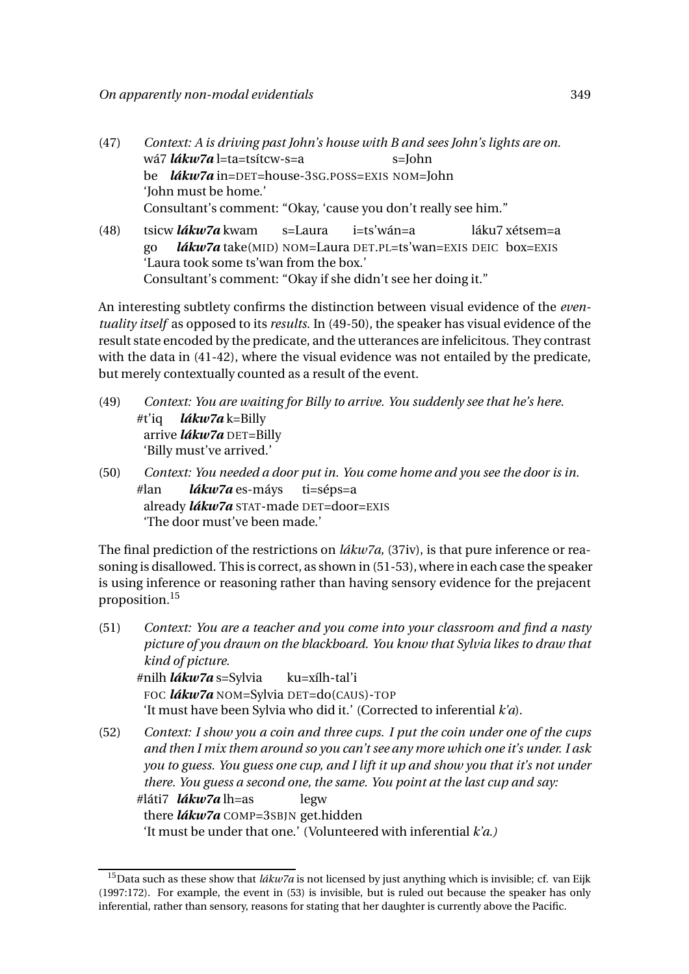- (47) *Context: A is driving past John's house with B and sees John's lights are on.* wá7 *lákw7a* l=ta=tsítcw-s=a be *lákw7a* in=DET=house-3SG.POSS=EXIS NOM=John s=John 'John must be home.' Consultant's comment: "Okay, 'cause you don't really see him."
- (48) tsicw *lákw7a* kwam go *lákw7a* take(MID) NOM=Laura DET.PL=ts'wan=EXIS DEIC box=EXIS s=Laura i=ts'wán=a láku7 xétsem=a 'Laura took some ts'wan from the box.' Consultant's comment: "Okay if she didn't see her doing it."

An interesting subtlety confirms the distinction between visual evidence of the *eventuality itself* as opposed to its *results.* In (49-50), the speaker has visual evidence of the result state encoded by the predicate, and the utterances are infelicitous. They contrast with the data in (41-42), where the visual evidence was not entailed by the predicate, but merely contextually counted as a result of the event.

- (49) *Context: You are waiting for Billy to arrive. You suddenly see that he's here.* #t'iq arrive *lákw7a* DET=Billy *lákw7a* k=Billy 'Billy must've arrived.'
- (50) *Context: You needed a door put in. You come home and you see the door is in.* #lan already *lákw7a* STAT-made DET=door=EXIS *lákw7a* es-máys ti=séps=a 'The door must've been made.'

The final prediction of the restrictions on *lákw7a,* (37iv), is that pure inference or reasoning is disallowed. This is correct, as shown in (51-53), where in each case the speaker is using inference or reasoning rather than having sensory evidence for the prejacent proposition.<sup>15</sup>

(51) *Context: You are a teacher and you come into your classroom and find a nasty picture of you drawn on the blackboard. You know that Sylvia likes to draw that kind of picture.* #nilh *lákw7a* s=Sylvia FOC *lákw7a* NOM=Sylvia DET=do(CAUS)-TOP ku=xílh-tal'i 'It must have been Sylvia who did it.' (Corrected to inferential *k'a*). (52) *Context: I show you a coin and three cups. I put the coin under one of the cups and then I mix them around so you can't see any more which one it's under. I ask you to guess. You guess one cup, and I lift it up and show you that it's not under there. You guess a second one, the same. You point at the last cup and say:* #láti7 *lákw7a* lh=as legw

there *lákw7a* COMP=3SBJN get.hidden

'It must be under that one.' (Volunteered with inferential *k'a.)*

<sup>&</sup>lt;sup>15</sup>Data such as these show that *lákw7a* is not licensed by just anything which is invisible; cf. van Eijk (1997:172). For example, the event in (53) is invisible, but is ruled out because the speaker has only inferential, rather than sensory, reasons for stating that her daughter is currently above the Pacific.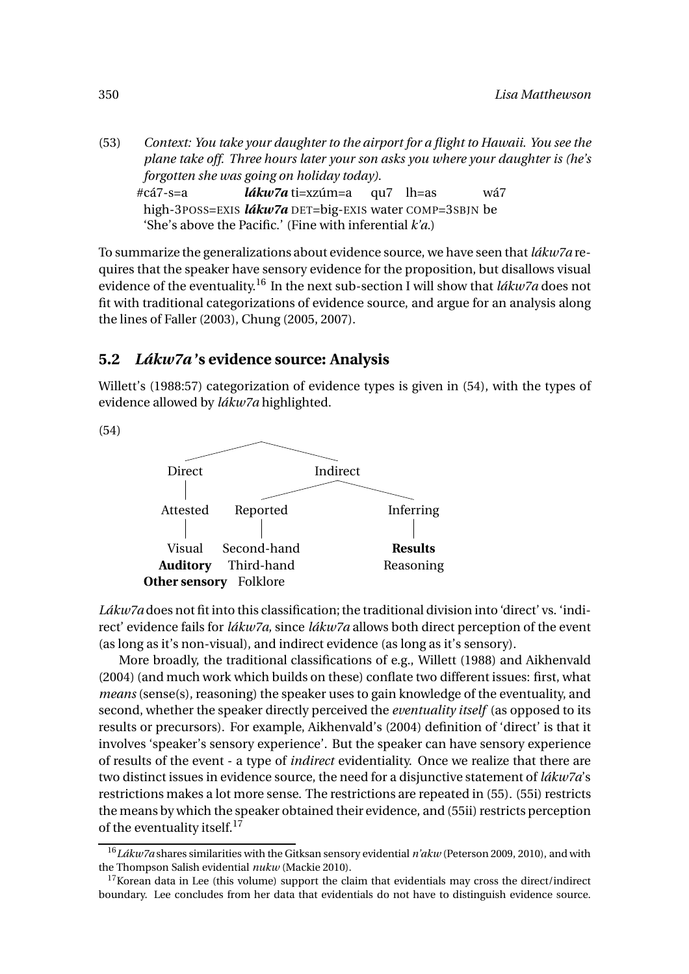(53) *Context: You take your daughter to the airport for a flight to Hawaii. You see the plane take off. Three hours later your son asks you where your daughter is (he's forgotten she was going on holiday today).*  $\#c\acute{a}7$ -s=a high-3POSS=EXIS *lákw7a* DET=big-EXIS water COMP=3SBJN be *lákw7a* ti=xzúm=a qu7 lh=as wá7 'She's above the Pacific.' (Fine with inferential *k'a.*)

To summarize the generalizations about evidence source, we have seen that *lákw7a* requires that the speaker have sensory evidence for the proposition, but disallows visual evidence of the eventuality.<sup>16</sup> In the next sub-section I will show that *lákw7a* does not fit with traditional categorizations of evidence source, and argue for an analysis along the lines of Faller (2003), Chung (2005, 2007).

#### **5.2** *Lákw7a* **'s evidence source: Analysis**

Willett's (1988:57) categorization of evidence types is given in (54), with the types of evidence allowed by *lákw7a* highlighted.



*Lákw7a* does not fit into this classification; the traditional division into 'direct' vs. 'indirect' evidence fails for *lákw7a,* since *lákw7a* allows both direct perception of the event (as long as it's non-visual), and indirect evidence (as long as it's sensory).

More broadly, the traditional classifications of e.g., Willett (1988) and Aikhenvald (2004) (and much work which builds on these) conflate two different issues: first, what *means* (sense(s), reasoning) the speaker uses to gain knowledge of the eventuality, and second, whether the speaker directly perceived the *eventuality itself* (as opposed to its results or precursors). For example, Aikhenvald's (2004) definition of 'direct' is that it involves 'speaker's sensory experience'. But the speaker can have sensory experience of results of the event - a type of *indirect* evidentiality. Once we realize that there are two distinct issues in evidence source, the need for a disjunctive statement of *lákw7a*'s restrictions makes a lot more sense. The restrictions are repeated in (55). (55i) restricts the means by which the speaker obtained their evidence, and (55ii) restricts perception of the eventuality itself.<sup>17</sup>

<sup>16</sup>*Lákw7a* shares similarities with the Gitksan sensory evidential *n'akw* (Peterson 2009, 2010), and with the Thompson Salish evidential *nukw* (Mackie 2010).

 $17$ Korean data in Lee (this volume) support the claim that evidentials may cross the direct/indirect boundary. Lee concludes from her data that evidentials do not have to distinguish evidence source.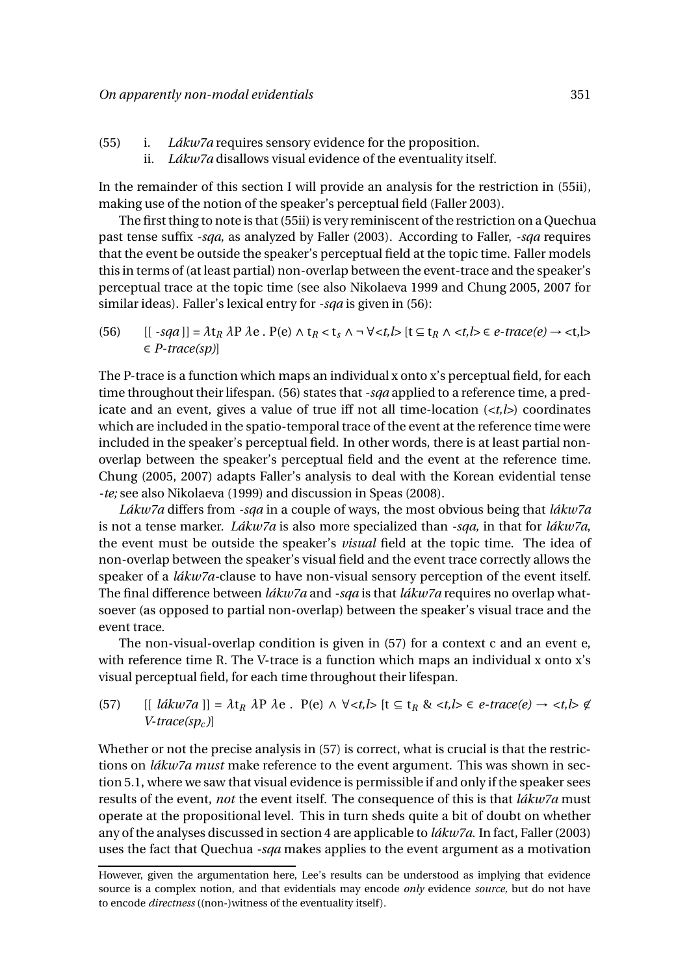- (55) i. *Lákw7a* requires sensory evidence for the proposition.
	- ii. *Lákw7a* disallows visual evidence of the eventuality itself.

In the remainder of this section I will provide an analysis for the restriction in (55ii), making use of the notion of the speaker's perceptual field (Faller 2003).

The first thing to note is that (55ii) is very reminiscent of the restriction on a Quechua past tense suffix *-sqa,* as analyzed by Faller (2003). According to Faller, *-sqa* requires that the event be outside the speaker's perceptual field at the topic time. Faller models this in terms of (at least partial) non-overlap between the event-trace and the speaker's perceptual trace at the topic time (see also Nikolaeva 1999 and Chung 2005, 2007 for similar ideas). Faller's lexical entry for *-sqa* is given in (56):

(56)  $\left[ \left[ -sqa \right] \right] = \lambda t_R \lambda P \lambda e$ .  $P(e) \wedge t_R < t_s \wedge \neg \forall < t, l > [t \subseteq t_R \wedge < t, l > \in e \text{-}trace(e) \rightarrow < t, l > \infty \}$ ∈ *P-trace(sp)*]

The P-trace is a function which maps an individual x onto x's perceptual field, for each time throughout their lifespan. (56) states that*-sqa* applied to a reference time, a predicate and an event, gives a value of true iff not all time-location (*<t,l>*) coordinates which are included in the spatio-temporal trace of the event at the reference time were included in the speaker's perceptual field. In other words, there is at least partial nonoverlap between the speaker's perceptual field and the event at the reference time. Chung (2005, 2007) adapts Faller's analysis to deal with the Korean evidential tense *-te;* see also Nikolaeva (1999) and discussion in Speas (2008).

*Lákw7a* differs from *-sqa* in a couple of ways, the most obvious being that *lákw7a* is not a tense marker. *Lákw7a* is also more specialized than *-sqa,* in that for *lákw7a*, the event must be outside the speaker's *visual* field at the topic time. The idea of non-overlap between the speaker's visual field and the event trace correctly allows the speaker of a *lákw7a-*clause to have non-visual sensory perception of the event itself. The final difference between *lákw7a* and *-sqa* is that *lákw7a* requires no overlap whatsoever (as opposed to partial non-overlap) between the speaker's visual trace and the event trace.

The non-visual-overlap condition is given in (57) for a context c and an event e, with reference time R. The V-trace is a function which maps an individual x onto x's visual perceptual field, for each time throughout their lifespan.

(57)  $[[\hat{a}k\omega7a]] = \lambda t_R \lambda P \lambda e$ .  $P(e) \wedge \forall *t*,*l* > [t \subseteq t_R \< *t*,*l* > \in e\text{-}trace(e) \rightarrow *t*,*l* > \notinfty]$ *V-trace*(s $p_c$ )]

Whether or not the precise analysis in (57) is correct, what is crucial is that the restrictions on *lákw7a must* make reference to the event argument. This was shown in section 5.1, where we saw that visual evidence is permissible if and only if the speaker sees results of the event, *not* the event itself. The consequence of this is that *lákw7a* must operate at the propositional level. This in turn sheds quite a bit of doubt on whether any of the analyses discussed in section 4 are applicable to *lákw7a.* In fact, Faller (2003) uses the fact that Quechua *-sqa* makes applies to the event argument as a motivation

However, given the argumentation here, Lee's results can be understood as implying that evidence source is a complex notion, and that evidentials may encode *only* evidence *source,* but do not have to encode *directness* ((non-)witness of the eventuality itself).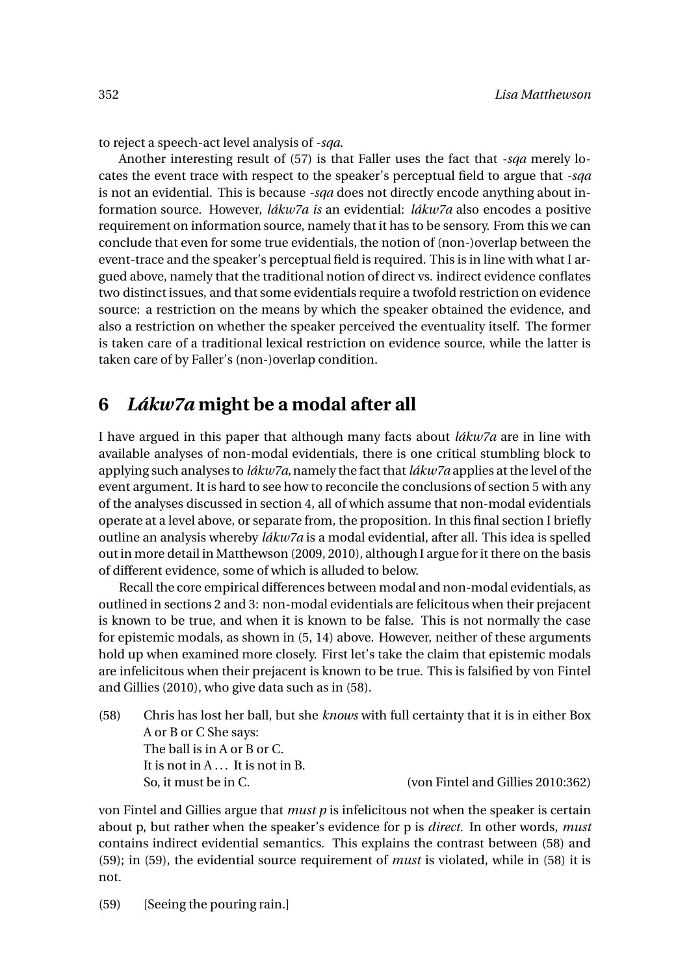to reject a speech-act level analysis of *-sqa*.

Another interesting result of (57) is that Faller uses the fact that *-sqa* merely locates the event trace with respect to the speaker's perceptual field to argue that *-sqa* is not an evidential. This is because *-sqa* does not directly encode anything about information source. However, *lákw7a is* an evidential: *lákw7a* also encodes a positive requirement on information source, namely that it has to be sensory. From this we can conclude that even for some true evidentials, the notion of (non-)overlap between the event-trace and the speaker's perceptual field is required. This is in line with what I argued above, namely that the traditional notion of direct vs. indirect evidence conflates two distinct issues, and that some evidentials require a twofold restriction on evidence source: a restriction on the means by which the speaker obtained the evidence, and also a restriction on whether the speaker perceived the eventuality itself. The former is taken care of a traditional lexical restriction on evidence source, while the latter is taken care of by Faller's (non-)overlap condition.

## **6** *Lákw7a* **might be a modal after all**

I have argued in this paper that although many facts about *lákw7a* are in line with available analyses of non-modal evidentials, there is one critical stumbling block to applying such analyses to *lákw7a,*namely the fact that *lákw7a* applies at the level of the event argument. It is hard to see how to reconcile the conclusions of section 5 with any of the analyses discussed in section 4, all of which assume that non-modal evidentials operate at a level above, or separate from, the proposition. In this final section I briefly outline an analysis whereby *lákw7a* is a modal evidential, after all. This idea is spelled out in more detail in Matthewson (2009, 2010), although I argue for it there on the basis of different evidence, some of which is alluded to below.

Recall the core empirical differences between modal and non-modal evidentials, as outlined in sections 2 and 3: non-modal evidentials are felicitous when their prejacent is known to be true, and when it is known to be false. This is not normally the case for epistemic modals, as shown in (5, 14) above. However, neither of these arguments hold up when examined more closely. First let's take the claim that epistemic modals are infelicitous when their prejacent is known to be true. This is falsified by von Fintel and Gillies (2010), who give data such as in (58).

(58) Chris has lost her ball, but she *knows* with full certainty that it is in either Box A or B or C She says: The ball is in A or B or C. It is not in A ... It is not in B. So, it must be in C. (von Fintel and Gillies 2010:362)

von Fintel and Gillies argue that *must p* is infelicitous not when the speaker is certain about p, but rather when the speaker's evidence for p is *direct.* In other words, *must* contains indirect evidential semantics. This explains the contrast between (58) and (59); in (59), the evidential source requirement of *must* is violated, while in (58) it is not.

(59) [Seeing the pouring rain.]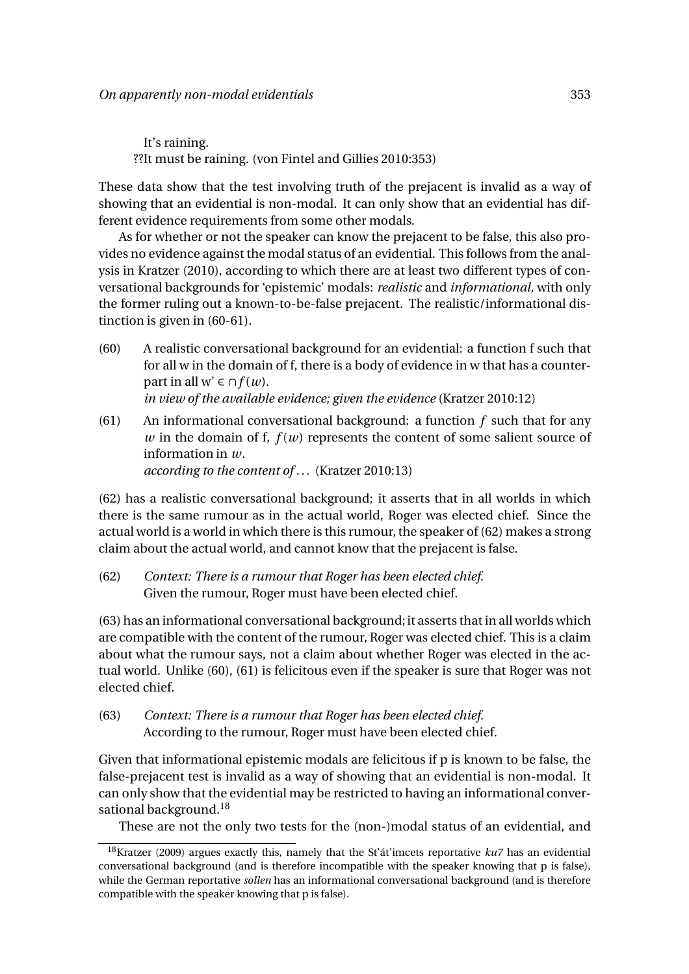It's raining. ??It must be raining. (von Fintel and Gillies 2010:353)

These data show that the test involving truth of the prejacent is invalid as a way of showing that an evidential is non-modal. It can only show that an evidential has different evidence requirements from some other modals.

As for whether or not the speaker can know the prejacent to be false, this also provides no evidence against the modal status of an evidential. This follows from the analysis in Kratzer (2010), according to which there are at least two different types of conversational backgrounds for 'epistemic' modals: *realistic* and *informational,* with only the former ruling out a known-to-be-false prejacent. The realistic/informational distinction is given in (60-61).

- (60) A realistic conversational background for an evidential: a function f such that for all w in the domain of f, there is a body of evidence in w that has a counterpart in all  $w' \in \bigcap f(w)$ . *in view of the available evidence; given the evidence* (Kratzer 2010:12)
- (61) An informational conversational background: a function *f* such that for any *w* in the domain of f,  $f(w)$  represents the content of some salient source of information in *w*. *according to the content of ...* (Kratzer 2010:13)

(62) has a realistic conversational background; it asserts that in all worlds in which there is the same rumour as in the actual world, Roger was elected chief. Since the actual world is a world in which there is this rumour, the speaker of (62) makes a strong claim about the actual world, and cannot know that the prejacent is false.

(62) *Context: There is a rumour that Roger has been elected chief.* Given the rumour, Roger must have been elected chief.

(63) has an informational conversational background;it asserts that in all worlds which are compatible with the content of the rumour, Roger was elected chief. This is a claim about what the rumour says, not a claim about whether Roger was elected in the actual world. Unlike (60), (61) is felicitous even if the speaker is sure that Roger was not elected chief.

(63) *Context: There is a rumour that Roger has been elected chief.* According to the rumour, Roger must have been elected chief.

Given that informational epistemic modals are felicitous if p is known to be false, the false-prejacent test is invalid as a way of showing that an evidential is non-modal. It can only show that the evidential may be restricted to having an informational conversational background.<sup>18</sup>

These are not the only two tests for the (non-)modal status of an evidential, and

<sup>18</sup>Kratzer (2009) argues exactly this, namely that the St'át'imcets reportative *ku7* has an evidential conversational background (and is therefore incompatible with the speaker knowing that p is false), while the German reportative *sollen* has an informational conversational background (and is therefore compatible with the speaker knowing that p is false).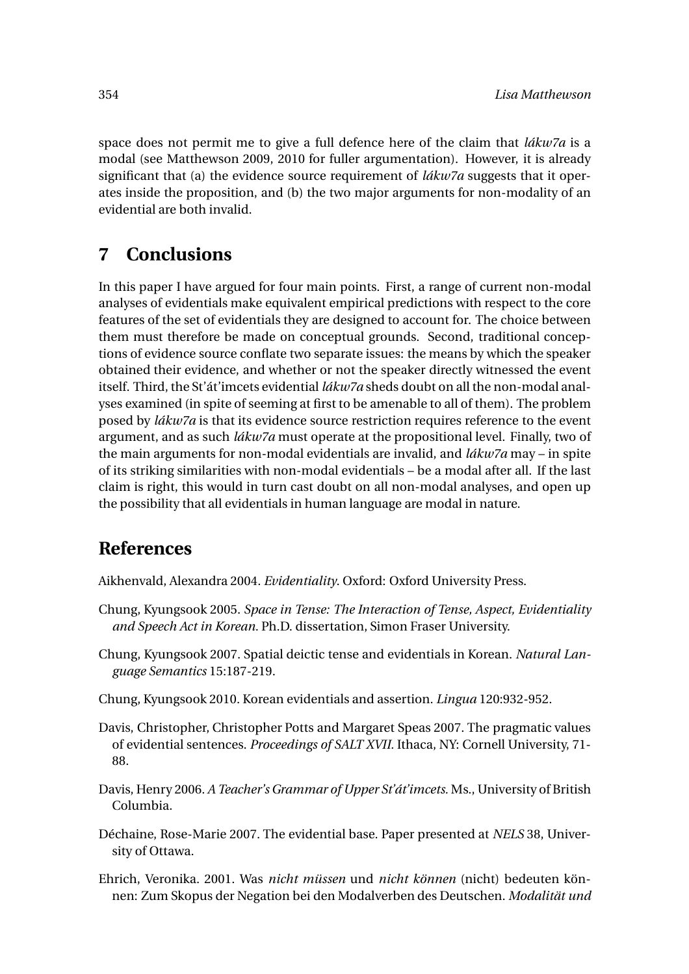space does not permit me to give a full defence here of the claim that *lákw7a* is a modal (see Matthewson 2009, 2010 for fuller argumentation). However, it is already significant that (a) the evidence source requirement of *lákw7a* suggests that it operates inside the proposition, and (b) the two major arguments for non-modality of an evidential are both invalid.

# **7 Conclusions**

In this paper I have argued for four main points. First, a range of current non-modal analyses of evidentials make equivalent empirical predictions with respect to the core features of the set of evidentials they are designed to account for. The choice between them must therefore be made on conceptual grounds. Second, traditional conceptions of evidence source conflate two separate issues: the means by which the speaker obtained their evidence, and whether or not the speaker directly witnessed the event itself. Third, the St'át'imcets evidential *lákw7a* sheds doubt on all the non-modal analyses examined (in spite of seeming at first to be amenable to all of them). The problem posed by *lákw7a* is that its evidence source restriction requires reference to the event argument, and as such *lákw7a* must operate at the propositional level. Finally, two of the main arguments for non-modal evidentials are invalid, and *lákw7a* may – in spite of its striking similarities with non-modal evidentials – be a modal after all. If the last claim is right, this would in turn cast doubt on all non-modal analyses, and open up the possibility that all evidentials in human language are modal in nature.

# **References**

- Aikhenvald, Alexandra 2004. *Evidentiality*. Oxford: Oxford University Press.
- Chung, Kyungsook 2005. *Space in Tense: The Interaction of Tense, Aspect, Evidentiality and Speech Act in Korean.* Ph.D. dissertation, Simon Fraser University.
- Chung, Kyungsook 2007. Spatial deictic tense and evidentials in Korean. *Natural Language Semantics* 15:187-219.
- Chung, Kyungsook 2010. Korean evidentials and assertion. *Lingua* 120:932-952.
- Davis, Christopher, Christopher Potts and Margaret Speas 2007. The pragmatic values of evidential sentences. *Proceedings of SALT XVII.* Ithaca, NY: Cornell University, 71- 88.
- Davis, Henry 2006. *A Teacher's Grammar of Upper St'át'imcets.* Ms., University of British Columbia.
- Déchaine, Rose-Marie 2007. The evidential base. Paper presented at *NELS* 38, University of Ottawa.
- Ehrich, Veronika. 2001. Was *nicht müssen* und *nicht können* (nicht) bedeuten können: Zum Skopus der Negation bei den Modalverben des Deutschen. *Modalität und*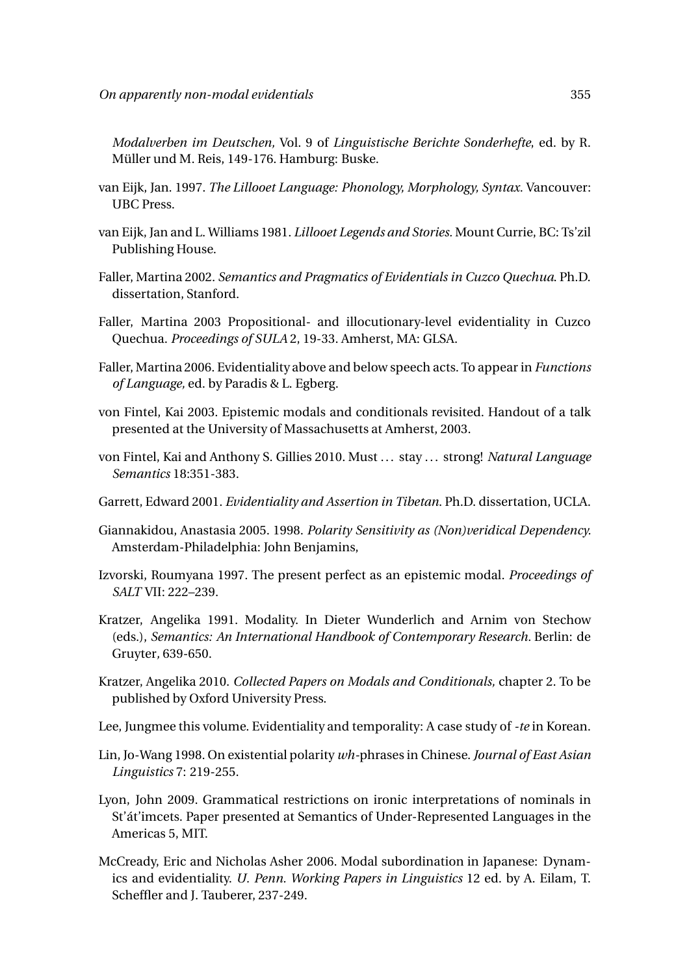*Modalverben im Deutschen,* Vol. 9 of *Linguistische Berichte Sonderhefte*, ed. by R. Müller und M. Reis, 149-176. Hamburg: Buske.

- van Eijk, Jan. 1997. *The Lillooet Language: Phonology, Morphology, Syntax.* Vancouver: UBC Press.
- van Eijk, Jan and L. Williams 1981. *Lillooet Legends and Stories.* Mount Currie, BC: Ts'zil Publishing House.
- Faller, Martina 2002. *Semantics and Pragmatics of Evidentials in Cuzco Quechua*. Ph.D. dissertation, Stanford.
- Faller, Martina 2003 Propositional- and illocutionary-level evidentiality in Cuzco Quechua. *Proceedings of SULA* 2, 19-33. Amherst, MA: GLSA.
- Faller, Martina 2006. Evidentiality above and below speech acts. To appear in *Functions of Language,* ed. by Paradis & L. Egberg.
- von Fintel, Kai 2003. Epistemic modals and conditionals revisited. Handout of a talk presented at the University of Massachusetts at Amherst, 2003.
- von Fintel, Kai and Anthony S. Gillies 2010. Must ... stay ... strong! *Natural Language Semantics* 18:351-383.
- Garrett, Edward 2001. *Evidentiality and Assertion in Tibetan*. Ph.D. dissertation, UCLA.
- Giannakidou, Anastasia 2005. 1998. *Polarity Sensitivity as (Non)veridical Dependency.* Amsterdam-Philadelphia: John Benjamins,
- Izvorski, Roumyana 1997. The present perfect as an epistemic modal. *Proceedings of SALT* VII: 222–239.
- Kratzer, Angelika 1991. Modality. In Dieter Wunderlich and Arnim von Stechow (eds.), *Semantics: An International Handbook of Contemporary Research.* Berlin: de Gruyter*,* 639-650.
- Kratzer, Angelika 2010. *Collected Papers on Modals and Conditionals,* chapter 2. To be published by Oxford University Press.
- Lee, Jungmee this volume. Evidentiality and temporality: A case study of *-te* in Korean.
- Lin, Jo-Wang 1998. On existential polarity *wh-*phrases in Chinese. *Journal of East Asian Linguistics* 7: 219-255.
- Lyon, John 2009. Grammatical restrictions on ironic interpretations of nominals in St'át'imcets. Paper presented at Semantics of Under-Represented Languages in the Americas 5, MIT.
- McCready, Eric and Nicholas Asher 2006. Modal subordination in Japanese: Dynamics and evidentiality. *U. Penn. Working Papers in Linguistics* 12 ed. by A. Eilam, T. Scheffler and J. Tauberer, 237-249.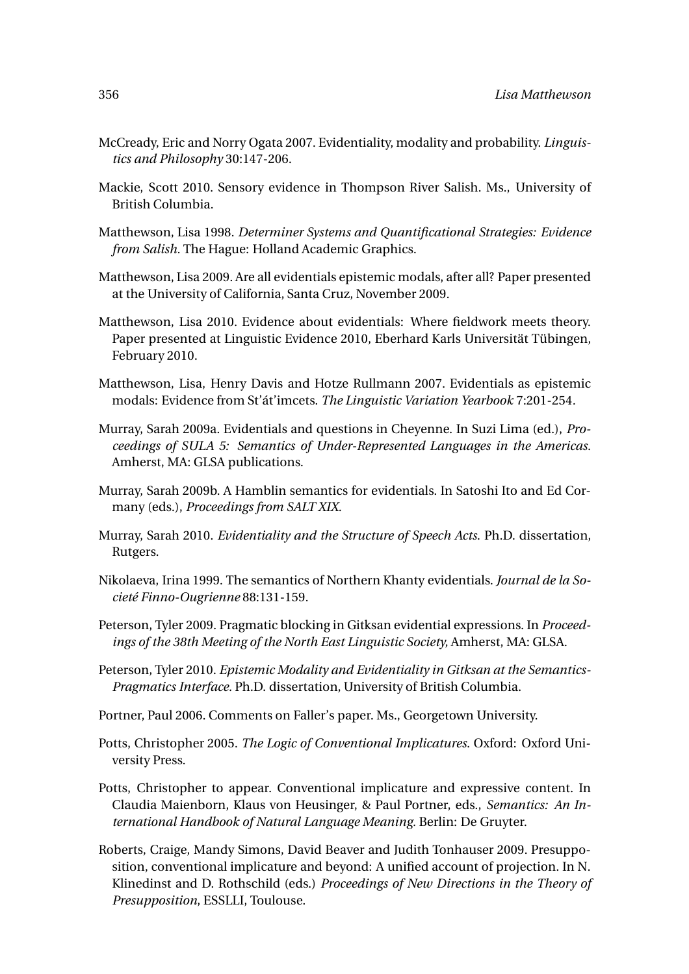- McCready, Eric and Norry Ogata 2007. Evidentiality, modality and probability. *Linguistics and Philosophy* 30:147-206.
- Mackie, Scott 2010. Sensory evidence in Thompson River Salish. Ms., University of British Columbia.
- Matthewson, Lisa 1998. *Determiner Systems and Quantificational Strategies: Evidence from Salish.* The Hague: Holland Academic Graphics.
- Matthewson, Lisa 2009. Are all evidentials epistemic modals, after all? Paper presented at the University of California, Santa Cruz, November 2009.
- Matthewson, Lisa 2010. Evidence about evidentials: Where fieldwork meets theory. Paper presented at Linguistic Evidence 2010, Eberhard Karls Universität Tübingen, February 2010.
- Matthewson, Lisa, Henry Davis and Hotze Rullmann 2007. Evidentials as epistemic modals: Evidence from St'át'imcets. *The Linguistic Variation Yearbook* 7:201-254*.*
- Murray, Sarah 2009a. Evidentials and questions in Cheyenne. In Suzi Lima (ed.), *Proceedings of SULA 5: Semantics of Under-Represented Languages in the Americas.* Amherst, MA: GLSA publications.
- Murray, Sarah 2009b. A Hamblin semantics for evidentials. In Satoshi Ito and Ed Cormany (eds.), *Proceedings from SALT XIX.*
- Murray, Sarah 2010. *Evidentiality and the Structure of Speech Acts*. Ph.D. dissertation, Rutgers.
- Nikolaeva, Irina 1999. The semantics of Northern Khanty evidentials. *Journal de la Societé Finno-Ougrienne* 88:131-159.
- Peterson, Tyler 2009. Pragmatic blocking in Gitksan evidential expressions. In *Proceedings of the 38th Meeting of the North East Linguistic Society,* Amherst, MA: GLSA.
- Peterson, Tyler 2010. *Epistemic Modality and Evidentiality in Gitksan at the Semantics-Pragmatics Interface.* Ph.D. dissertation, University of British Columbia.
- Portner, Paul 2006. Comments on Faller's paper. Ms., Georgetown University.
- Potts, Christopher 2005. *The Logic of Conventional Implicatures*. Oxford: Oxford University Press.
- Potts, Christopher to appear. Conventional implicature and expressive content. In Claudia Maienborn, Klaus von Heusinger, & Paul Portner, eds., *Semantics: An International Handbook of Natural Language Meaning.* Berlin: De Gruyter.
- Roberts, Craige, Mandy Simons, David Beaver and Judith Tonhauser 2009. Presupposition, conventional implicature and beyond: A unified account of projection. In N. Klinedinst and D. Rothschild (eds.) *Proceedings of New Directions in the Theory of Presupposition*, ESSLLI, Toulouse.